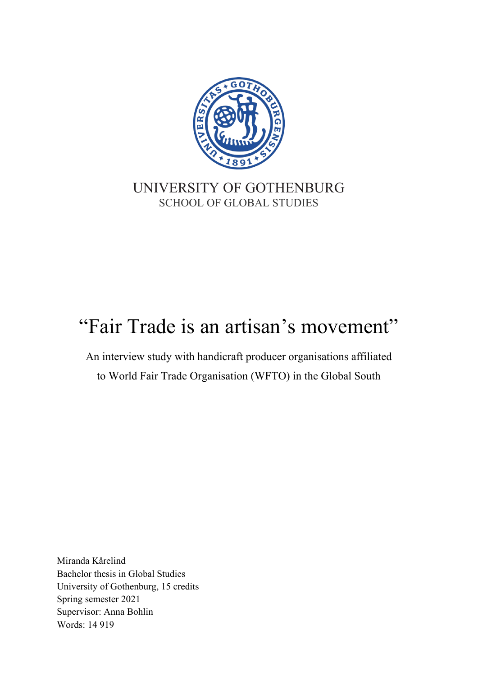

# UNIVERSITY OF GOTHENBURG SCHOOL OF GLOBAL STUDIES

# "Fair Trade is an artisan's movement"

An interview study with handicraft producer organisations affiliated to World Fair Trade Organisation (WFTO) in the Global South

Miranda Kårelind Bachelor thesis in Global Studies University of Gothenburg, 15 credits Spring semester 2021 Supervisor: Anna Bohlin Words: 14 919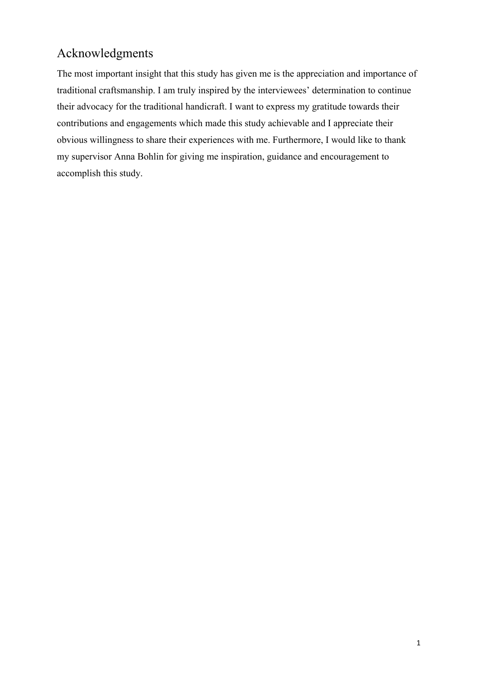# Acknowledgments

The most important insight that this study has given me is the appreciation and importance of traditional craftsmanship. I am truly inspired by the interviewees' determination to continue their advocacy for the traditional handicraft. I want to express my gratitude towards their contributions and engagements which made this study achievable and I appreciate their obvious willingness to share their experiences with me. Furthermore, I would like to thank my supervisor Anna Bohlin for giving me inspiration, guidance and encouragement to accomplish this study.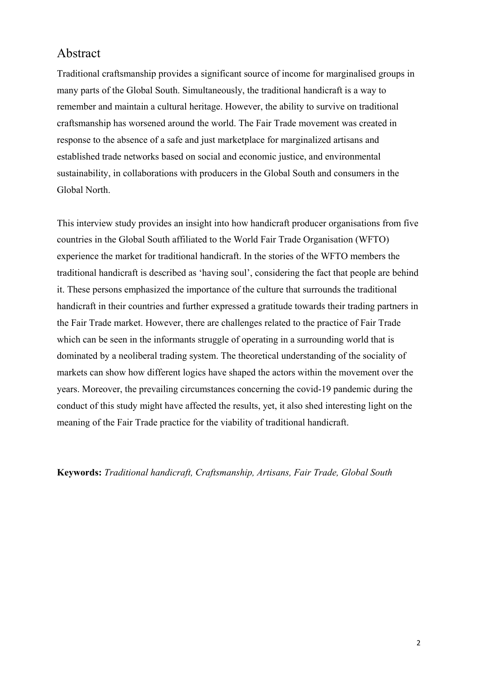### Abstract

Traditional craftsmanship provides a significant source of income for marginalised groups in many parts of the Global South. Simultaneously, the traditional handicraft is a way to remember and maintain a cultural heritage. However, the ability to survive on traditional craftsmanship has worsened around the world. The Fair Trade movement was created in response to the absence of a safe and just marketplace for marginalized artisans and established trade networks based on social and economic justice, and environmental sustainability, in collaborations with producers in the Global South and consumers in the Global North.

This interview study provides an insight into how handicraft producer organisations from five countries in the Global South affiliated to the World Fair Trade Organisation (WFTO) experience the market for traditional handicraft. In the stories of the WFTO members the traditional handicraft is described as 'having soul', considering the fact that people are behind it. These persons emphasized the importance of the culture that surrounds the traditional handicraft in their countries and further expressed a gratitude towards their trading partners in the Fair Trade market. However, there are challenges related to the practice of Fair Trade which can be seen in the informants struggle of operating in a surrounding world that is dominated by a neoliberal trading system. The theoretical understanding of the sociality of markets can show how different logics have shaped the actors within the movement over the years. Moreover, the prevailing circumstances concerning the covid-19 pandemic during the conduct of this study might have affected the results, yet, it also shed interesting light on the meaning of the Fair Trade practice for the viability of traditional handicraft.

**Keywords:** *Traditional handicraft, Craftsmanship, Artisans, Fair Trade, Global South*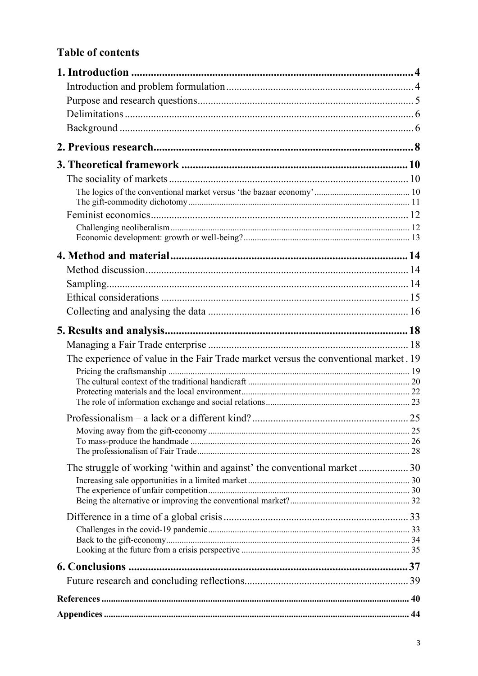# **Table of contents**

| The experience of value in the Fair Trade market versus the conventional market. 19 |  |
|-------------------------------------------------------------------------------------|--|
|                                                                                     |  |
|                                                                                     |  |
|                                                                                     |  |
|                                                                                     |  |
|                                                                                     |  |
|                                                                                     |  |
|                                                                                     |  |
| The struggle of working 'within and against' the conventional market30              |  |
|                                                                                     |  |
|                                                                                     |  |
|                                                                                     |  |
|                                                                                     |  |
|                                                                                     |  |
|                                                                                     |  |
|                                                                                     |  |
|                                                                                     |  |
|                                                                                     |  |
|                                                                                     |  |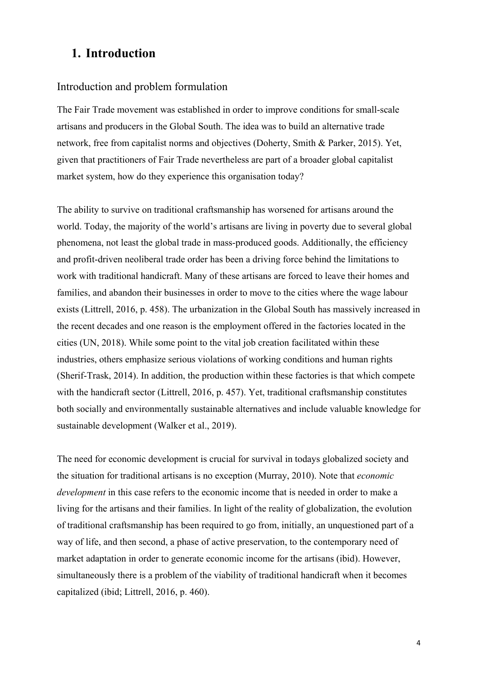# <span id="page-4-0"></span>**1. Introduction**

#### <span id="page-4-1"></span>Introduction and problem formulation

The Fair Trade movement was established in order to improve conditions for small-scale artisans and producers in the Global South. The idea was to build an alternative trade network, free from capitalist norms and objectives (Doherty, Smith & Parker, 2015). Yet, given that practitioners of Fair Trade nevertheless are part of a broader global capitalist market system, how do they experience this organisation today?

The ability to survive on traditional craftsmanship has worsened for artisans around the world. Today, the majority of the world's artisans are living in poverty due to several global phenomena, not least the global trade in mass-produced goods. Additionally, the efficiency and profit-driven neoliberal trade order has been a driving force behind the limitations to work with traditional handicraft. Many of these artisans are forced to leave their homes and families, and abandon their businesses in order to move to the cities where the wage labour exists (Littrell, 2016, p. 458). The urbanization in the Global South has massively increased in the recent decades and one reason is the employment offered in the factories located in the cities (UN, 2018). While some point to the vital job creation facilitated within these industries, others emphasize serious violations of working conditions and human rights (Sherif-Trask, 2014). In addition, the production within these factories is that which compete with the handicraft sector (Littrell, 2016, p. 457). Yet, traditional craftsmanship constitutes both socially and environmentally sustainable alternatives and include valuable knowledge for sustainable development (Walker et al., 2019).

The need for economic development is crucial for survival in todays globalized society and the situation for traditional artisans is no exception (Murray, 2010). Note that *economic development* in this case refers to the economic income that is needed in order to make a living for the artisans and their families. In light of the reality of globalization, the evolution of traditional craftsmanship has been required to go from, initially, an unquestioned part of a way of life, and then second, a phase of active preservation, to the contemporary need of market adaptation in order to generate economic income for the artisans (ibid). However, simultaneously there is a problem of the viability of traditional handicraft when it becomes capitalized (ibid; Littrell, 2016, p. 460).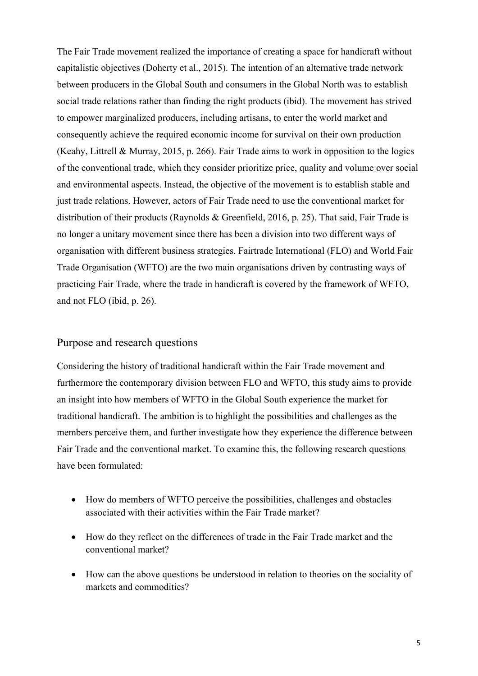The Fair Trade movement realized the importance of creating a space for handicraft without capitalistic objectives (Doherty et al., 2015). The intention of an alternative trade network between producers in the Global South and consumers in the Global North was to establish social trade relations rather than finding the right products (ibid). The movement has strived to empower marginalized producers, including artisans, to enter the world market and consequently achieve the required economic income for survival on their own production (Keahy, Littrell & Murray, 2015, p. 266). Fair Trade aims to work in opposition to the logics of the conventional trade, which they consider prioritize price, quality and volume over social and environmental aspects. Instead, the objective of the movement is to establish stable and just trade relations. However, actors of Fair Trade need to use the conventional market for distribution of their products (Raynolds & Greenfield, 2016, p. 25). That said, Fair Trade is no longer a unitary movement since there has been a division into two different ways of organisation with different business strategies. Fairtrade International (FLO) and World Fair Trade Organisation (WFTO) are the two main organisations driven by contrasting ways of practicing Fair Trade, where the trade in handicraft is covered by the framework of WFTO, and not FLO (ibid, p. 26).

#### <span id="page-5-0"></span>Purpose and research questions

Considering the history of traditional handicraft within the Fair Trade movement and furthermore the contemporary division between FLO and WFTO, this study aims to provide an insight into how members of WFTO in the Global South experience the market for traditional handicraft. The ambition is to highlight the possibilities and challenges as the members perceive them, and further investigate how they experience the difference between Fair Trade and the conventional market. To examine this, the following research questions have been formulated:

- How do members of WFTO perceive the possibilities, challenges and obstacles associated with their activities within the Fair Trade market?
- How do they reflect on the differences of trade in the Fair Trade market and the conventional market?
- How can the above questions be understood in relation to theories on the sociality of markets and commodities?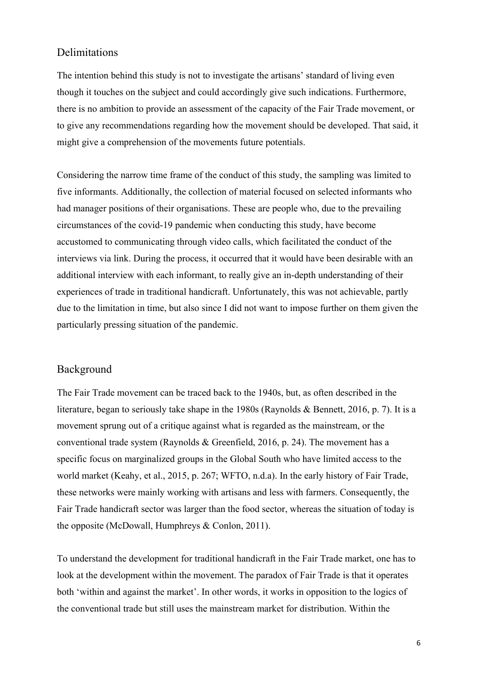#### <span id="page-6-0"></span>Delimitations

The intention behind this study is not to investigate the artisans' standard of living even though it touches on the subject and could accordingly give such indications. Furthermore, there is no ambition to provide an assessment of the capacity of the Fair Trade movement, or to give any recommendations regarding how the movement should be developed. That said, it might give a comprehension of the movements future potentials.

Considering the narrow time frame of the conduct of this study, the sampling was limited to five informants. Additionally, the collection of material focused on selected informants who had manager positions of their organisations. These are people who, due to the prevailing circumstances of the covid-19 pandemic when conducting this study, have become accustomed to communicating through video calls, which facilitated the conduct of the interviews via link. During the process, it occurred that it would have been desirable with an additional interview with each informant, to really give an in-depth understanding of their experiences of trade in traditional handicraft. Unfortunately, this was not achievable, partly due to the limitation in time, but also since I did not want to impose further on them given the particularly pressing situation of the pandemic.

#### <span id="page-6-1"></span>Background

The Fair Trade movement can be traced back to the 1940s, but, as often described in the literature, began to seriously take shape in the 1980s (Raynolds & Bennett, 2016, p. 7). It is a movement sprung out of a critique against what is regarded as the mainstream, or the conventional trade system (Raynolds & Greenfield, 2016, p. 24). The movement has a specific focus on marginalized groups in the Global South who have limited access to the world market (Keahy, et al., 2015, p. 267; WFTO, n.d.a). In the early history of Fair Trade, these networks were mainly working with artisans and less with farmers. Consequently, the Fair Trade handicraft sector was larger than the food sector, whereas the situation of today is the opposite (McDowall, Humphreys & Conlon, 2011).

To understand the development for traditional handicraft in the Fair Trade market, one has to look at the development within the movement. The paradox of Fair Trade is that it operates both 'within and against the market'. In other words, it works in opposition to the logics of the conventional trade but still uses the mainstream market for distribution. Within the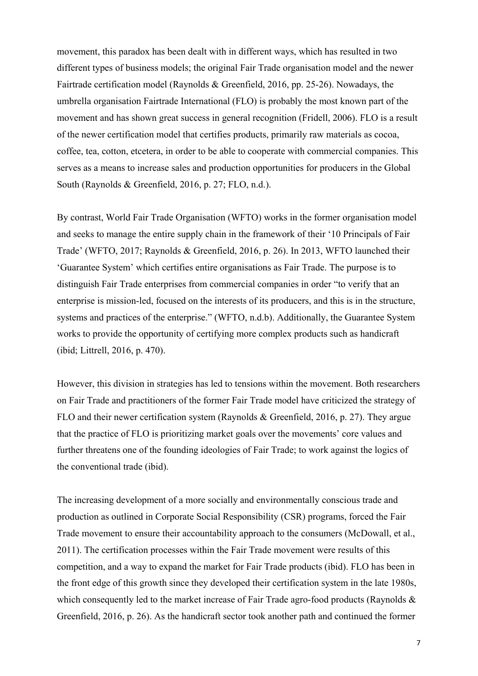movement, this paradox has been dealt with in different ways, which has resulted in two different types of business models; the original Fair Trade organisation model and the newer Fairtrade certification model (Raynolds & Greenfield, 2016, pp. 25-26). Nowadays, the umbrella organisation Fairtrade International (FLO) is probably the most known part of the movement and has shown great success in general recognition (Fridell, 2006). FLO is a result of the newer certification model that certifies products, primarily raw materials as cocoa, coffee, tea, cotton, etcetera, in order to be able to cooperate with commercial companies. This serves as a means to increase sales and production opportunities for producers in the Global South (Raynolds & Greenfield, 2016, p. 27; FLO, n.d.).

By contrast, World Fair Trade Organisation (WFTO) works in the former organisation model and seeks to manage the entire supply chain in the framework of their '10 Principals of Fair Trade' (WFTO, 2017; Raynolds & Greenfield, 2016, p. 26). In 2013, WFTO launched their 'Guarantee System' which certifies entire organisations as Fair Trade. The purpose is to distinguish Fair Trade enterprises from commercial companies in order "to verify that an enterprise is mission-led, focused on the interests of its producers, and this is in the structure, systems and practices of the enterprise." (WFTO, n.d.b). Additionally, the Guarantee System works to provide the opportunity of certifying more complex products such as handicraft (ibid; Littrell, 2016, p. 470).

However, this division in strategies has led to tensions within the movement. Both researchers on Fair Trade and practitioners of the former Fair Trade model have criticized the strategy of FLO and their newer certification system (Raynolds & Greenfield, 2016, p. 27). They argue that the practice of FLO is prioritizing market goals over the movements' core values and further threatens one of the founding ideologies of Fair Trade; to work against the logics of the conventional trade (ibid).

The increasing development of a more socially and environmentally conscious trade and production as outlined in Corporate Social Responsibility (CSR) programs, forced the Fair Trade movement to ensure their accountability approach to the consumers (McDowall, et al., 2011). The certification processes within the Fair Trade movement were results of this competition, and a way to expand the market for Fair Trade products (ibid). FLO has been in the front edge of this growth since they developed their certification system in the late 1980s, which consequently led to the market increase of Fair Trade agro-food products (Raynolds & Greenfield, 2016, p. 26). As the handicraft sector took another path and continued the former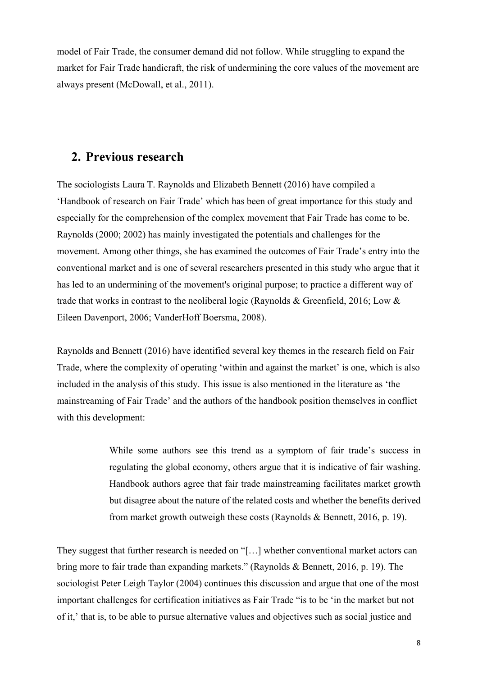model of Fair Trade, the consumer demand did not follow. While struggling to expand the market for Fair Trade handicraft, the risk of undermining the core values of the movement are always present (McDowall, et al., 2011).

### <span id="page-8-0"></span>**2. Previous research**

The sociologists Laura T. Raynolds and Elizabeth Bennett (2016) have compiled a 'Handbook of research on Fair Trade' which has been of great importance for this study and especially for the comprehension of the complex movement that Fair Trade has come to be. Raynolds (2000; 2002) has mainly investigated the potentials and challenges for the movement. Among other things, she has examined the outcomes of Fair Trade's entry into the conventional market and is one of several researchers presented in this study who argue that it has led to an undermining of the movement's original purpose; to practice a different way of trade that works in contrast to the neoliberal logic (Raynolds & Greenfield, 2016; Low & Eileen Davenport, 2006; VanderHoff Boersma, 2008).

Raynolds and Bennett (2016) have identified several key themes in the research field on Fair Trade, where the complexity of operating 'within and against the market' is one, which is also included in the analysis of this study. This issue is also mentioned in the literature as 'the mainstreaming of Fair Trade' and the authors of the handbook position themselves in conflict with this development:

> While some authors see this trend as a symptom of fair trade's success in regulating the global economy, others argue that it is indicative of fair washing. Handbook authors agree that fair trade mainstreaming facilitates market growth but disagree about the nature of the related costs and whether the benefits derived from market growth outweigh these costs (Raynolds & Bennett, 2016, p. 19).

They suggest that further research is needed on "[…] whether conventional market actors can bring more to fair trade than expanding markets." (Raynolds & Bennett, 2016, p. 19). The sociologist Peter Leigh Taylor (2004) continues this discussion and argue that one of the most important challenges for certification initiatives as Fair Trade "is to be 'in the market but not of it,' that is, to be able to pursue alternative values and objectives such as social justice and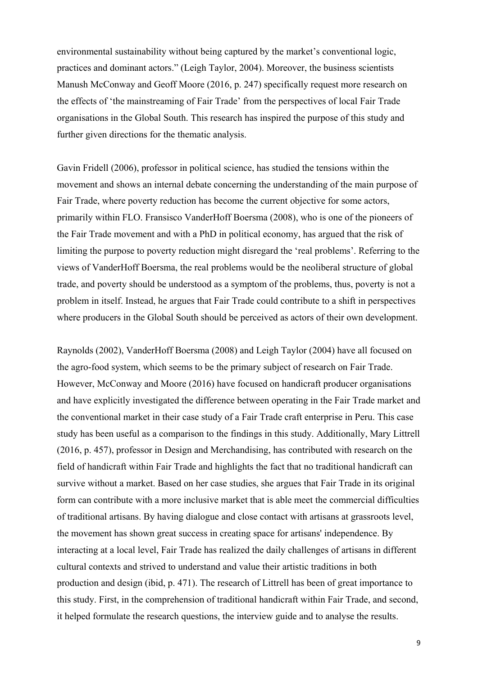environmental sustainability without being captured by the market's conventional logic, practices and dominant actors." (Leigh Taylor, 2004). Moreover, the business scientists Manush McConway and Geoff Moore (2016, p. 247) specifically request more research on the effects of 'the mainstreaming of Fair Trade' from the perspectives of local Fair Trade organisations in the Global South. This research has inspired the purpose of this study and further given directions for the thematic analysis.

Gavin Fridell (2006), professor in political science, has studied the tensions within the movement and shows an internal debate concerning the understanding of the main purpose of Fair Trade, where poverty reduction has become the current objective for some actors, primarily within FLO. Fransisco VanderHoff Boersma (2008), who is one of the pioneers of the Fair Trade movement and with a PhD in political economy, has argued that the risk of limiting the purpose to poverty reduction might disregard the 'real problems'. Referring to the views of VanderHoff Boersma, the real problems would be the neoliberal structure of global trade, and poverty should be understood as a symptom of the problems, thus, poverty is not a problem in itself. Instead, he argues that Fair Trade could contribute to a shift in perspectives where producers in the Global South should be perceived as actors of their own development.

Raynolds (2002), VanderHoff Boersma (2008) and Leigh Taylor (2004) have all focused on the agro-food system, which seems to be the primary subject of research on Fair Trade. However, McConway and Moore (2016) have focused on handicraft producer organisations and have explicitly investigated the difference between operating in the Fair Trade market and the conventional market in their case study of a Fair Trade craft enterprise in Peru. This case study has been useful as a comparison to the findings in this study. Additionally, Mary Littrell (2016, p. 457), professor in Design and Merchandising, has contributed with research on the field of handicraft within Fair Trade and highlights the fact that no traditional handicraft can survive without a market. Based on her case studies, she argues that Fair Trade in its original form can contribute with a more inclusive market that is able meet the commercial difficulties of traditional artisans. By having dialogue and close contact with artisans at grassroots level, the movement has shown great success in creating space for artisans' independence. By interacting at a local level, Fair Trade has realized the daily challenges of artisans in different cultural contexts and strived to understand and value their artistic traditions in both production and design (ibid, p. 471). The research of Littrell has been of great importance to this study. First, in the comprehension of traditional handicraft within Fair Trade, and second, it helped formulate the research questions, the interview guide and to analyse the results.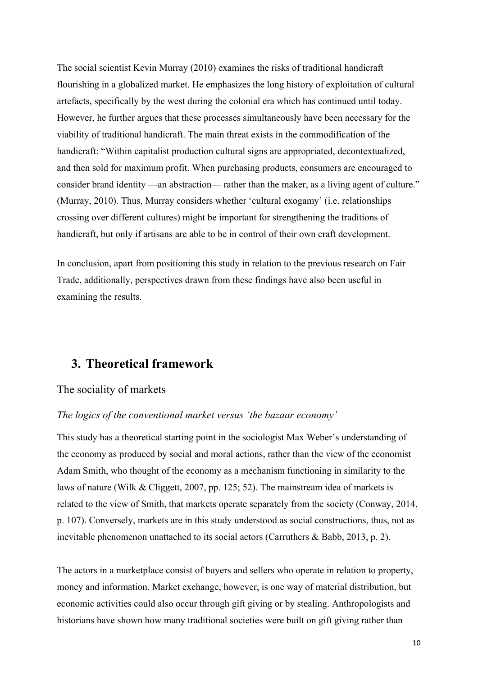The social scientist Kevin Murray (2010) examines the risks of traditional handicraft flourishing in a globalized market. He emphasizes the long history of exploitation of cultural artefacts, specifically by the west during the colonial era which has continued until today. However, he further argues that these processes simultaneously have been necessary for the viability of traditional handicraft. The main threat exists in the commodification of the handicraft: "Within capitalist production cultural signs are appropriated, decontextualized, and then sold for maximum profit. When purchasing products, consumers are encouraged to consider brand identity —an abstraction— rather than the maker, as a living agent of culture." (Murray, 2010). Thus, Murray considers whether 'cultural exogamy' (i.e. relationships crossing over different cultures) might be important for strengthening the traditions of handicraft, but only if artisans are able to be in control of their own craft development.

In conclusion, apart from positioning this study in relation to the previous research on Fair Trade, additionally, perspectives drawn from these findings have also been useful in examining the results.

## <span id="page-10-0"></span>**3. Theoretical framework**

#### <span id="page-10-1"></span>The sociality of markets

#### <span id="page-10-2"></span>*The logics of the conventional market versus 'the bazaar economy'*

This study has a theoretical starting point in the sociologist Max Weber's understanding of the economy as produced by social and moral actions, rather than the view of the economist Adam Smith, who thought of the economy as a mechanism functioning in similarity to the laws of nature (Wilk & Cliggett, 2007, pp. 125; 52). The mainstream idea of markets is related to the view of Smith, that markets operate separately from the society (Conway, 2014, p. 107). Conversely, markets are in this study understood as social constructions, thus, not as inevitable phenomenon unattached to its social actors (Carruthers & Babb, 2013, p. 2).

The actors in a marketplace consist of buyers and sellers who operate in relation to property, money and information. Market exchange, however, is one way of material distribution, but economic activities could also occur through gift giving or by stealing. Anthropologists and historians have shown how many traditional societies were built on gift giving rather than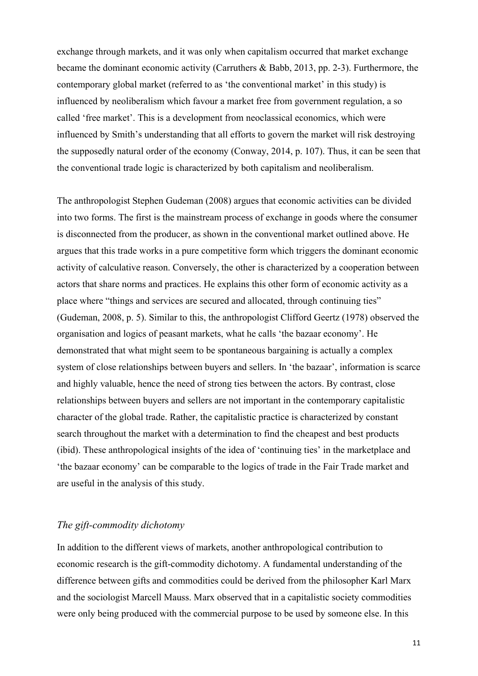exchange through markets, and it was only when capitalism occurred that market exchange became the dominant economic activity (Carruthers & Babb, 2013, pp. 2-3). Furthermore, the contemporary global market (referred to as 'the conventional market' in this study) is influenced by neoliberalism which favour a market free from government regulation, a so called 'free market'. This is a development from neoclassical economics, which were influenced by Smith's understanding that all efforts to govern the market will risk destroying the supposedly natural order of the economy (Conway, 2014, p. 107). Thus, it can be seen that the conventional trade logic is characterized by both capitalism and neoliberalism.

The anthropologist Stephen Gudeman (2008) argues that economic activities can be divided into two forms. The first is the mainstream process of exchange in goods where the consumer is disconnected from the producer, as shown in the conventional market outlined above. He argues that this trade works in a pure competitive form which triggers the dominant economic activity of calculative reason. Conversely, the other is characterized by a cooperation between actors that share norms and practices. He explains this other form of economic activity as a place where "things and services are secured and allocated, through continuing ties" (Gudeman, 2008, p. 5). Similar to this, the anthropologist Clifford Geertz (1978) observed the organisation and logics of peasant markets, what he calls 'the bazaar economy'. He demonstrated that what might seem to be spontaneous bargaining is actually a complex system of close relationships between buyers and sellers. In 'the bazaar', information is scarce and highly valuable, hence the need of strong ties between the actors. By contrast, close relationships between buyers and sellers are not important in the contemporary capitalistic character of the global trade. Rather, the capitalistic practice is characterized by constant search throughout the market with a determination to find the cheapest and best products (ibid). These anthropological insights of the idea of 'continuing ties' in the marketplace and 'the bazaar economy' can be comparable to the logics of trade in the Fair Trade market and are useful in the analysis of this study.

#### <span id="page-11-0"></span>*The gift-commodity dichotomy*

In addition to the different views of markets, another anthropological contribution to economic research is the gift-commodity dichotomy. A fundamental understanding of the difference between gifts and commodities could be derived from the philosopher Karl Marx and the sociologist Marcell Mauss. Marx observed that in a capitalistic society commodities were only being produced with the commercial purpose to be used by someone else. In this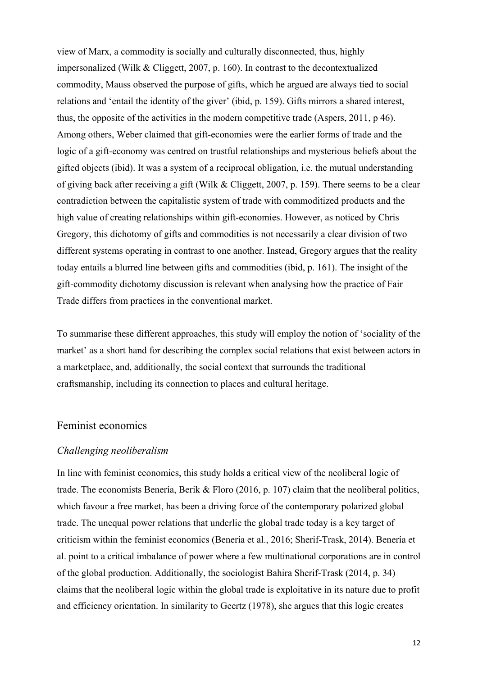view of Marx, a commodity is socially and culturally disconnected, thus, highly impersonalized (Wilk & Cliggett, 2007, p. 160). In contrast to the decontextualized commodity, Mauss observed the purpose of gifts, which he argued are always tied to social relations and 'entail the identity of the giver' (ibid, p. 159). Gifts mirrors a shared interest, thus, the opposite of the activities in the modern competitive trade (Aspers, 2011, p 46). Among others, Weber claimed that gift-economies were the earlier forms of trade and the logic of a gift-economy was centred on trustful relationships and mysterious beliefs about the gifted objects (ibid). It was a system of a reciprocal obligation, i.e. the mutual understanding of giving back after receiving a gift (Wilk & Cliggett, 2007, p. 159). There seems to be a clear contradiction between the capitalistic system of trade with commoditized products and the high value of creating relationships within gift-economies. However, as noticed by Chris Gregory, this dichotomy of gifts and commodities is not necessarily a clear division of two different systems operating in contrast to one another. Instead, Gregory argues that the reality today entails a blurred line between gifts and commodities (ibid, p. 161). The insight of the gift-commodity dichotomy discussion is relevant when analysing how the practice of Fair Trade differs from practices in the conventional market.

To summarise these different approaches, this study will employ the notion of 'sociality of the market' as a short hand for describing the complex social relations that exist between actors in a marketplace, and, additionally, the social context that surrounds the traditional craftsmanship, including its connection to places and cultural heritage.

#### <span id="page-12-0"></span>Feminist economics

#### <span id="page-12-1"></span>*Challenging neoliberalism*

In line with feminist economics, this study holds a critical view of the neoliberal logic of trade. The economists Benería, Berik & Floro (2016, p. 107) claim that the neoliberal politics, which favour a free market, has been a driving force of the contemporary polarized global trade. The unequal power relations that underlie the global trade today is a key target of criticism within the feminist economics (Benería et al., 2016; Sherif-Trask, 2014). Benería et al. point to a critical imbalance of power where a few multinational corporations are in control of the global production. Additionally, the sociologist Bahira Sherif-Trask (2014, p. 34) claims that the neoliberal logic within the global trade is exploitative in its nature due to profit and efficiency orientation. In similarity to Geertz (1978), she argues that this logic creates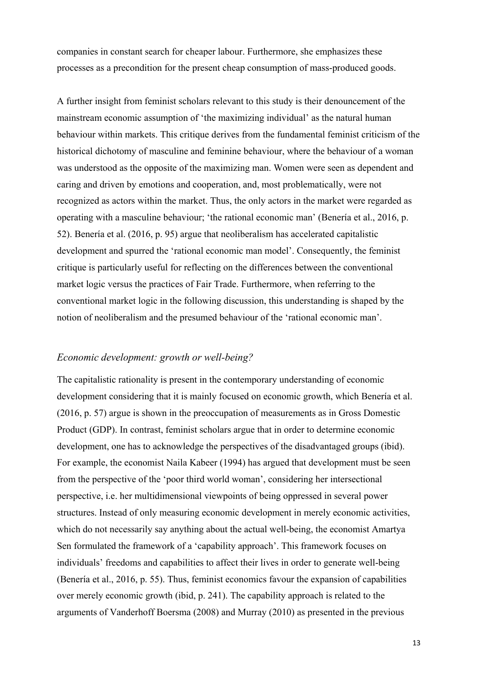companies in constant search for cheaper labour. Furthermore, she emphasizes these processes as a precondition for the present cheap consumption of mass-produced goods.

A further insight from feminist scholars relevant to this study is their denouncement of the mainstream economic assumption of 'the maximizing individual' as the natural human behaviour within markets. This critique derives from the fundamental feminist criticism of the historical dichotomy of masculine and feminine behaviour, where the behaviour of a woman was understood as the opposite of the maximizing man. Women were seen as dependent and caring and driven by emotions and cooperation, and, most problematically, were not recognized as actors within the market. Thus, the only actors in the market were regarded as operating with a masculine behaviour; 'the rational economic man' (Benería et al., 2016, p. 52). Benería et al. (2016, p. 95) argue that neoliberalism has accelerated capitalistic development and spurred the 'rational economic man model'. Consequently, the feminist critique is particularly useful for reflecting on the differences between the conventional market logic versus the practices of Fair Trade. Furthermore, when referring to the conventional market logic in the following discussion, this understanding is shaped by the notion of neoliberalism and the presumed behaviour of the 'rational economic man'.

#### <span id="page-13-0"></span>*Economic development: growth or well-being?*

The capitalistic rationality is present in the contemporary understanding of economic development considering that it is mainly focused on economic growth, which Benería et al. (2016, p. 57) argue is shown in the preoccupation of measurements as in Gross Domestic Product (GDP). In contrast, feminist scholars argue that in order to determine economic development, one has to acknowledge the perspectives of the disadvantaged groups (ibid). For example, the economist Naila Kabeer (1994) has argued that development must be seen from the perspective of the 'poor third world woman', considering her intersectional perspective, i.e. her multidimensional viewpoints of being oppressed in several power structures. Instead of only measuring economic development in merely economic activities, which do not necessarily say anything about the actual well-being, the economist Amartya Sen formulated the framework of a 'capability approach'. This framework focuses on individuals' freedoms and capabilities to affect their lives in order to generate well-being (Benería et al., 2016, p. 55). Thus, feminist economics favour the expansion of capabilities over merely economic growth (ibid, p. 241). The capability approach is related to the arguments of Vanderhoff Boersma (2008) and Murray (2010) as presented in the previous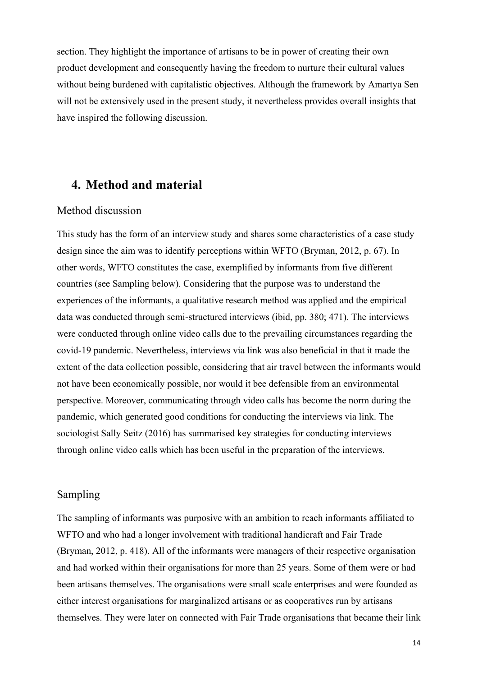section. They highlight the importance of artisans to be in power of creating their own product development and consequently having the freedom to nurture their cultural values without being burdened with capitalistic objectives. Although the framework by Amartya Sen will not be extensively used in the present study, it nevertheless provides overall insights that have inspired the following discussion.

### <span id="page-14-0"></span>**4. Method and material**

#### <span id="page-14-1"></span>Method discussion

This study has the form of an interview study and shares some characteristics of a case study design since the aim was to identify perceptions within WFTO (Bryman, 2012, p. 67). In other words, WFTO constitutes the case, exemplified by informants from five different countries (see Sampling below). Considering that the purpose was to understand the experiences of the informants, a qualitative research method was applied and the empirical data was conducted through semi-structured interviews (ibid, pp. 380; 471). The interviews were conducted through online video calls due to the prevailing circumstances regarding the covid-19 pandemic. Nevertheless, interviews via link was also beneficial in that it made the extent of the data collection possible, considering that air travel between the informants would not have been economically possible, nor would it bee defensible from an environmental perspective. Moreover, communicating through video calls has become the norm during the pandemic, which generated good conditions for conducting the interviews via link. The sociologist Sally Seitz (2016) has summarised key strategies for conducting interviews through online video calls which has been useful in the preparation of the interviews.

#### <span id="page-14-2"></span>Sampling

The sampling of informants was purposive with an ambition to reach informants affiliated to WFTO and who had a longer involvement with traditional handicraft and Fair Trade (Bryman, 2012, p. 418). All of the informants were managers of their respective organisation and had worked within their organisations for more than 25 years. Some of them were or had been artisans themselves. The organisations were small scale enterprises and were founded as either interest organisations for marginalized artisans or as cooperatives run by artisans themselves. They were later on connected with Fair Trade organisations that became their link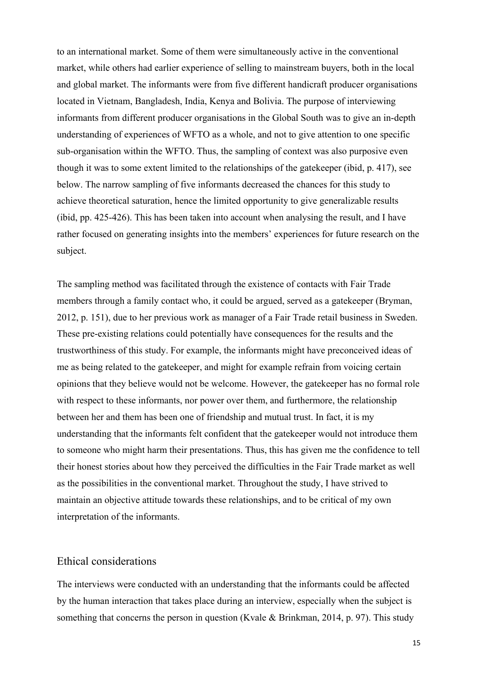to an international market. Some of them were simultaneously active in the conventional market, while others had earlier experience of selling to mainstream buyers, both in the local and global market. The informants were from five different handicraft producer organisations located in Vietnam, Bangladesh, India, Kenya and Bolivia. The purpose of interviewing informants from different producer organisations in the Global South was to give an in-depth understanding of experiences of WFTO as a whole, and not to give attention to one specific sub-organisation within the WFTO. Thus, the sampling of context was also purposive even though it was to some extent limited to the relationships of the gatekeeper (ibid, p. 417), see below. The narrow sampling of five informants decreased the chances for this study to achieve theoretical saturation, hence the limited opportunity to give generalizable results (ibid, pp. 425-426). This has been taken into account when analysing the result, and I have rather focused on generating insights into the members' experiences for future research on the subject.

The sampling method was facilitated through the existence of contacts with Fair Trade members through a family contact who, it could be argued, served as a gatekeeper (Bryman, 2012, p. 151), due to her previous work as manager of a Fair Trade retail business in Sweden. These pre-existing relations could potentially have consequences for the results and the trustworthiness of this study. For example, the informants might have preconceived ideas of me as being related to the gatekeeper, and might for example refrain from voicing certain opinions that they believe would not be welcome. However, the gatekeeper has no formal role with respect to these informants, nor power over them, and furthermore, the relationship between her and them has been one of friendship and mutual trust. In fact, it is my understanding that the informants felt confident that the gatekeeper would not introduce them to someone who might harm their presentations. Thus, this has given me the confidence to tell their honest stories about how they perceived the difficulties in the Fair Trade market as well as the possibilities in the conventional market. Throughout the study, I have strived to maintain an objective attitude towards these relationships, and to be critical of my own interpretation of the informants.

#### <span id="page-15-0"></span>Ethical considerations

The interviews were conducted with an understanding that the informants could be affected by the human interaction that takes place during an interview, especially when the subject is something that concerns the person in question (Kvale & Brinkman, 2014, p. 97). This study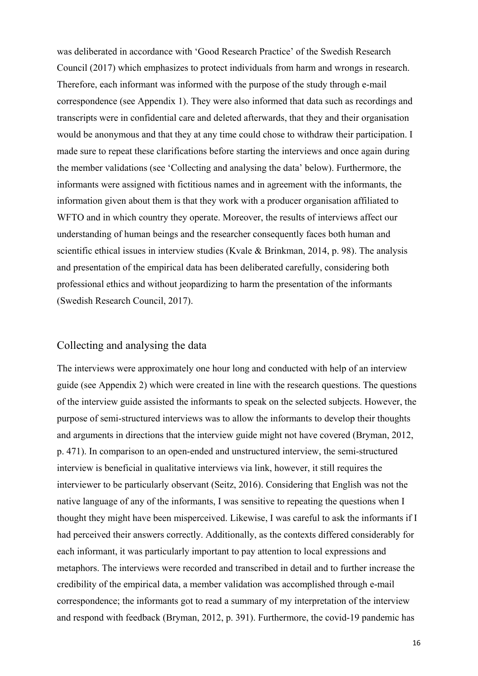was deliberated in accordance with 'Good Research Practice' of the Swedish Research Council (2017) which emphasizes to protect individuals from harm and wrongs in research. Therefore, each informant was informed with the purpose of the study through e-mail correspondence (see Appendix 1). They were also informed that data such as recordings and transcripts were in confidential care and deleted afterwards, that they and their organisation would be anonymous and that they at any time could chose to withdraw their participation. I made sure to repeat these clarifications before starting the interviews and once again during the member validations (see 'Collecting and analysing the data' below). Furthermore, the informants were assigned with fictitious names and in agreement with the informants, the information given about them is that they work with a producer organisation affiliated to WFTO and in which country they operate. Moreover, the results of interviews affect our understanding of human beings and the researcher consequently faces both human and scientific ethical issues in interview studies (Kvale & Brinkman, 2014, p. 98). The analysis and presentation of the empirical data has been deliberated carefully, considering both professional ethics and without jeopardizing to harm the presentation of the informants (Swedish Research Council, 2017).

#### <span id="page-16-0"></span>Collecting and analysing the data

The interviews were approximately one hour long and conducted with help of an interview guide (see Appendix 2) which were created in line with the research questions. The questions of the interview guide assisted the informants to speak on the selected subjects. However, the purpose of semi-structured interviews was to allow the informants to develop their thoughts and arguments in directions that the interview guide might not have covered (Bryman, 2012, p. 471). In comparison to an open-ended and unstructured interview, the semi-structured interview is beneficial in qualitative interviews via link, however, it still requires the interviewer to be particularly observant (Seitz, 2016). Considering that English was not the native language of any of the informants, I was sensitive to repeating the questions when I thought they might have been misperceived. Likewise, I was careful to ask the informants if I had perceived their answers correctly. Additionally, as the contexts differed considerably for each informant, it was particularly important to pay attention to local expressions and metaphors. The interviews were recorded and transcribed in detail and to further increase the credibility of the empirical data, a member validation was accomplished through e-mail correspondence; the informants got to read a summary of my interpretation of the interview and respond with feedback (Bryman, 2012, p. 391). Furthermore, the covid-19 pandemic has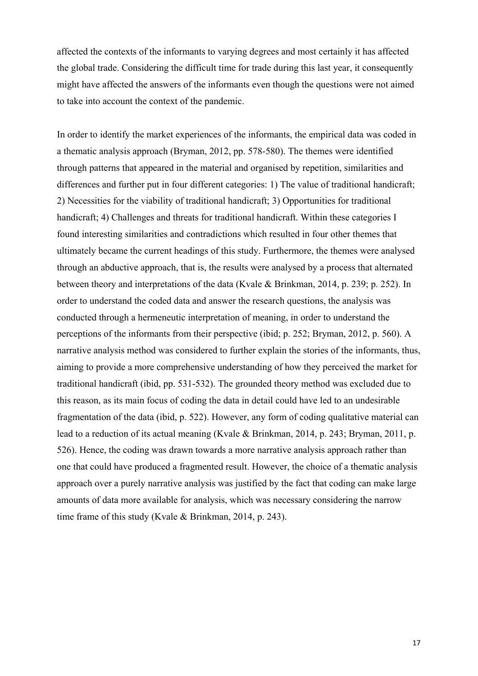affected the contexts of the informants to varying degrees and most certainly it has affected the global trade. Considering the difficult time for trade during this last year, it consequently might have affected the answers of the informants even though the questions were not aimed to take into account the context of the pandemic.

In order to identify the market experiences of the informants, the empirical data was coded in a thematic analysis approach (Bryman, 2012, pp. 578-580). The themes were identified through patterns that appeared in the material and organised by repetition, similarities and differences and further put in four different categories: 1) The value of traditional handicraft; 2) Necessities for the viability of traditional handicraft; 3) Opportunities for traditional handicraft; 4) Challenges and threats for traditional handicraft. Within these categories I found interesting similarities and contradictions which resulted in four other themes that ultimately became the current headings of this study. Furthermore, the themes were analysed through an abductive approach, that is, the results were analysed by a process that alternated between theory and interpretations of the data (Kvale & Brinkman, 2014, p. 239; p. 252). In order to understand the coded data and answer the research questions, the analysis was conducted through a hermeneutic interpretation of meaning, in order to understand the perceptions of the informants from their perspective (ibid; p. 252; Bryman, 2012, p. 560). A narrative analysis method was considered to further explain the stories of the informants, thus, aiming to provide a more comprehensive understanding of how they perceived the market for traditional handicraft (ibid, pp. 531-532). The grounded theory method was excluded due to this reason, as its main focus of coding the data in detail could have led to an undesirable fragmentation of the data (ibid, p. 522). However, any form of coding qualitative material can lead to a reduction of its actual meaning (Kvale & Brinkman, 2014, p. 243; Bryman, 2011, p. 526). Hence, the coding was drawn towards a more narrative analysis approach rather than one that could have produced a fragmented result. However, the choice of a thematic analysis approach over a purely narrative analysis was justified by the fact that coding can make large amounts of data more available for analysis, which was necessary considering the narrow time frame of this study (Kvale & Brinkman, 2014, p. 243).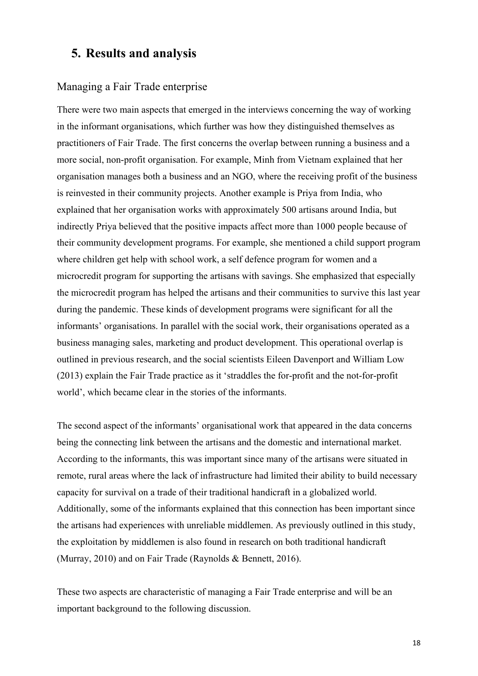### <span id="page-18-0"></span>**5. Results and analysis**

#### <span id="page-18-1"></span>Managing a Fair Trade enterprise

There were two main aspects that emerged in the interviews concerning the way of working in the informant organisations, which further was how they distinguished themselves as practitioners of Fair Trade. The first concerns the overlap between running a business and a more social, non-profit organisation. For example, Minh from Vietnam explained that her organisation manages both a business and an NGO, where the receiving profit of the business is reinvested in their community projects. Another example is Priya from India, who explained that her organisation works with approximately 500 artisans around India, but indirectly Priya believed that the positive impacts affect more than 1000 people because of their community development programs. For example, she mentioned a child support program where children get help with school work, a self defence program for women and a microcredit program for supporting the artisans with savings. She emphasized that especially the microcredit program has helped the artisans and their communities to survive this last year during the pandemic. These kinds of development programs were significant for all the informants' organisations. In parallel with the social work, their organisations operated as a business managing sales, marketing and product development. This operational overlap is outlined in previous research, and the social scientists Eileen Davenport and William Low (2013) explain the Fair Trade practice as it 'straddles the for-profit and the not-for-profit world', which became clear in the stories of the informants.

The second aspect of the informants' organisational work that appeared in the data concerns being the connecting link between the artisans and the domestic and international market. According to the informants, this was important since many of the artisans were situated in remote, rural areas where the lack of infrastructure had limited their ability to build necessary capacity for survival on a trade of their traditional handicraft in a globalized world. Additionally, some of the informants explained that this connection has been important since the artisans had experiences with unreliable middlemen. As previously outlined in this study, the exploitation by middlemen is also found in research on both traditional handicraft (Murray, 2010) and on Fair Trade (Raynolds & Bennett, 2016).

These two aspects are characteristic of managing a Fair Trade enterprise and will be an important background to the following discussion.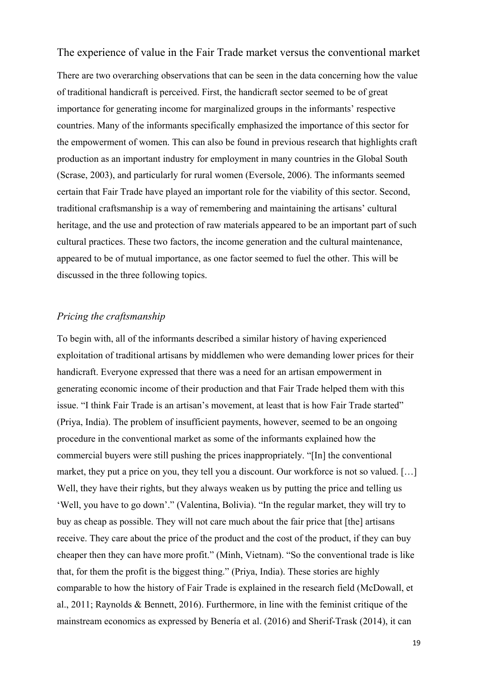<span id="page-19-0"></span>The experience of value in the Fair Trade market versus the conventional market

There are two overarching observations that can be seen in the data concerning how the value of traditional handicraft is perceived. First, the handicraft sector seemed to be of great importance for generating income for marginalized groups in the informants' respective countries. Many of the informants specifically emphasized the importance of this sector for the empowerment of women. This can also be found in previous research that highlights craft production as an important industry for employment in many countries in the Global South (Scrase, 2003), and particularly for rural women (Eversole, 2006). The informants seemed certain that Fair Trade have played an important role for the viability of this sector. Second, traditional craftsmanship is a way of remembering and maintaining the artisans' cultural heritage, and the use and protection of raw materials appeared to be an important part of such cultural practices. These two factors, the income generation and the cultural maintenance, appeared to be of mutual importance, as one factor seemed to fuel the other. This will be discussed in the three following topics.

#### <span id="page-19-1"></span>*Pricing the craftsmanship*

To begin with, all of the informants described a similar history of having experienced exploitation of traditional artisans by middlemen who were demanding lower prices for their handicraft. Everyone expressed that there was a need for an artisan empowerment in generating economic income of their production and that Fair Trade helped them with this issue. "I think Fair Trade is an artisan's movement, at least that is how Fair Trade started" (Priya, India). The problem of insufficient payments, however, seemed to be an ongoing procedure in the conventional market as some of the informants explained how the commercial buyers were still pushing the prices inappropriately. "[In] the conventional market, they put a price on you, they tell you a discount. Our workforce is not so valued. […] Well, they have their rights, but they always weaken us by putting the price and telling us 'Well, you have to go down'." (Valentina, Bolivia). "In the regular market, they will try to buy as cheap as possible. They will not care much about the fair price that [the] artisans receive. They care about the price of the product and the cost of the product, if they can buy cheaper then they can have more profit." (Minh, Vietnam). "So the conventional trade is like that, for them the profit is the biggest thing." (Priya, India). These stories are highly comparable to how the history of Fair Trade is explained in the research field (McDowall, et al., 2011; Raynolds & Bennett, 2016). Furthermore, in line with the feminist critique of the mainstream economics as expressed by Benería et al. (2016) and Sherif-Trask (2014), it can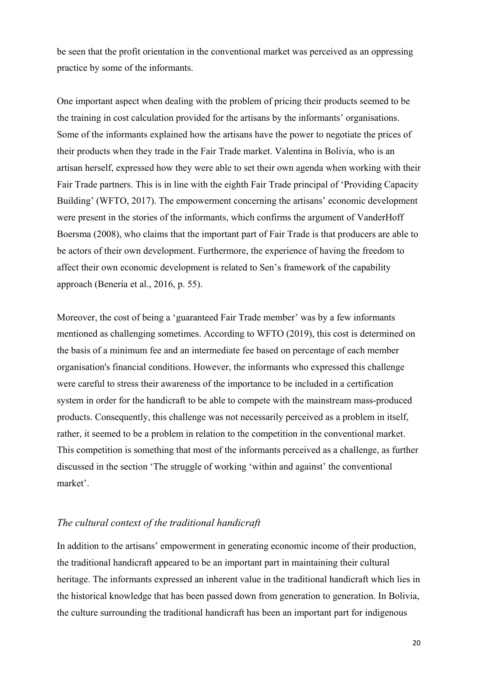be seen that the profit orientation in the conventional market was perceived as an oppressing practice by some of the informants.

One important aspect when dealing with the problem of pricing their products seemed to be the training in cost calculation provided for the artisans by the informants' organisations. Some of the informants explained how the artisans have the power to negotiate the prices of their products when they trade in the Fair Trade market. Valentina in Bolivia, who is an artisan herself, expressed how they were able to set their own agenda when working with their Fair Trade partners. This is in line with the eighth Fair Trade principal of 'Providing Capacity Building' (WFTO, 2017). The empowerment concerning the artisans' economic development were present in the stories of the informants, which confirms the argument of VanderHoff Boersma (2008), who claims that the important part of Fair Trade is that producers are able to be actors of their own development. Furthermore, the experience of having the freedom to affect their own economic development is related to Sen's framework of the capability approach (Benería et al., 2016, p. 55).

Moreover, the cost of being a 'guaranteed Fair Trade member' was by a few informants mentioned as challenging sometimes. According to WFTO (2019), this cost is determined on the basis of a minimum fee and an intermediate fee based on percentage of each member organisation's financial conditions. However, the informants who expressed this challenge were careful to stress their awareness of the importance to be included in a certification system in order for the handicraft to be able to compete with the mainstream mass-produced products. Consequently, this challenge was not necessarily perceived as a problem in itself, rather, it seemed to be a problem in relation to the competition in the conventional market. This competition is something that most of the informants perceived as a challenge, as further discussed in the section 'The struggle of working 'within and against' the conventional market'.

#### <span id="page-20-0"></span>*The cultural context of the traditional handicraft*

In addition to the artisans' empowerment in generating economic income of their production, the traditional handicraft appeared to be an important part in maintaining their cultural heritage. The informants expressed an inherent value in the traditional handicraft which lies in the historical knowledge that has been passed down from generation to generation. In Bolivia, the culture surrounding the traditional handicraft has been an important part for indigenous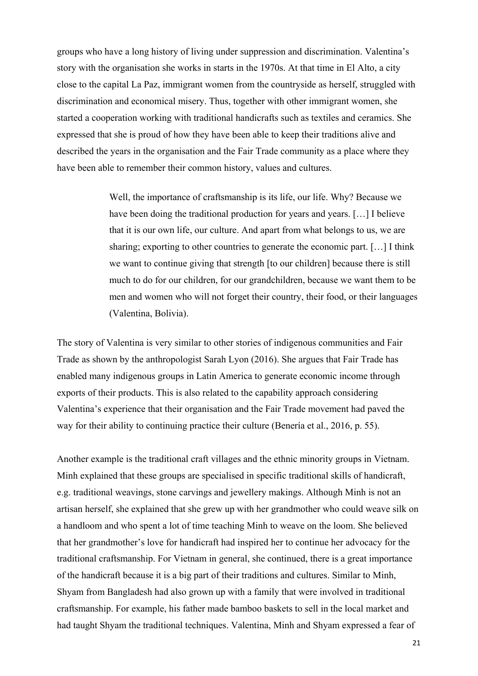groups who have a long history of living under suppression and discrimination. Valentina's story with the organisation she works in starts in the 1970s. At that time in El Alto, a city close to the capital La Paz, immigrant women from the countryside as herself, struggled with discrimination and economical misery. Thus, together with other immigrant women, she started a cooperation working with traditional handicrafts such as textiles and ceramics. She expressed that she is proud of how they have been able to keep their traditions alive and described the years in the organisation and the Fair Trade community as a place where they have been able to remember their common history, values and cultures.

> Well, the importance of craftsmanship is its life, our life. Why? Because we have been doing the traditional production for years and years. […] I believe that it is our own life, our culture. And apart from what belongs to us, we are sharing; exporting to other countries to generate the economic part. […] I think we want to continue giving that strength [to our children] because there is still much to do for our children, for our grandchildren, because we want them to be men and women who will not forget their country, their food, or their languages (Valentina, Bolivia).

The story of Valentina is very similar to other stories of indigenous communities and Fair Trade as shown by the anthropologist Sarah Lyon (2016). She argues that Fair Trade has enabled many indigenous groups in Latin America to generate economic income through exports of their products. This is also related to the capability approach considering Valentina's experience that their organisation and the Fair Trade movement had paved the way for their ability to continuing practice their culture (Benería et al., 2016, p. 55).

Another example is the traditional craft villages and the ethnic minority groups in Vietnam. Minh explained that these groups are specialised in specific traditional skills of handicraft, e.g. traditional weavings, stone carvings and jewellery makings. Although Minh is not an artisan herself, she explained that she grew up with her grandmother who could weave silk on a handloom and who spent a lot of time teaching Minh to weave on the loom. She believed that her grandmother's love for handicraft had inspired her to continue her advocacy for the traditional craftsmanship. For Vietnam in general, she continued, there is a great importance of the handicraft because it is a big part of their traditions and cultures. Similar to Minh, Shyam from Bangladesh had also grown up with a family that were involved in traditional craftsmanship. For example, his father made bamboo baskets to sell in the local market and had taught Shyam the traditional techniques. Valentina, Minh and Shyam expressed a fear of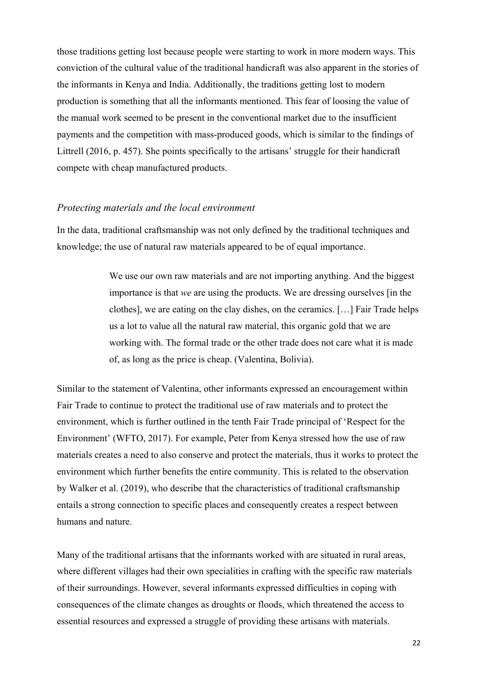those traditions getting lost because people were starting to work in more modern ways. This conviction of the cultural value of the traditional handicraft was also apparent in the stories of the informants in Kenya and India. Additionally, the traditions getting lost to modern production is something that all the informants mentioned. This fear of loosing the value of the manual work seemed to be present in the conventional market due to the insufficient payments and the competition with mass-produced goods, which is similar to the findings of Littrell (2016, p. 457). She points specifically to the artisans' struggle for their handicraft compete with cheap manufactured products.

#### <span id="page-22-0"></span>*Protecting materials and the local environment*

In the data, traditional craftsmanship was not only defined by the traditional techniques and knowledge; the use of natural raw materials appeared to be of equal importance.

> We use our own raw materials and are not importing anything. And the biggest importance is that *we* are using the products. We are dressing ourselves [in the clothes], we are eating on the clay dishes, on the ceramics. […] Fair Trade helps us a lot to value all the natural raw material, this organic gold that we are working with. The formal trade or the other trade does not care what it is made of, as long as the price is cheap. (Valentina, Bolivia).

Similar to the statement of Valentina, other informants expressed an encouragement within Fair Trade to continue to protect the traditional use of raw materials and to protect the environment, which is further outlined in the tenth Fair Trade principal of 'Respect for the Environment' (WFTO, 2017). For example, Peter from Kenya stressed how the use of raw materials creates a need to also conserve and protect the materials, thus it works to protect the environment which further benefits the entire community. This is related to the observation by Walker et al. (2019), who describe that the characteristics of traditional craftsmanship entails a strong connection to specific places and consequently creates a respect between humans and nature.

Many of the traditional artisans that the informants worked with are situated in rural areas, where different villages had their own specialities in crafting with the specific raw materials of their surroundings. However, several informants expressed difficulties in coping with consequences of the climate changes as droughts or floods, which threatened the access to essential resources and expressed a struggle of providing these artisans with materials.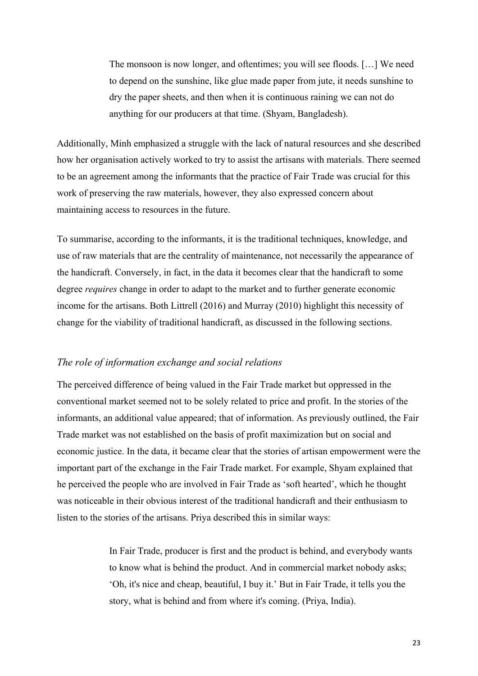The monsoon is now longer, and oftentimes; you will see floods. […] We need to depend on the sunshine, like glue made paper from jute, it needs sunshine to dry the paper sheets, and then when it is continuous raining we can not do anything for our producers at that time. (Shyam, Bangladesh).

Additionally, Minh emphasized a struggle with the lack of natural resources and she described how her organisation actively worked to try to assist the artisans with materials. There seemed to be an agreement among the informants that the practice of Fair Trade was crucial for this work of preserving the raw materials, however, they also expressed concern about maintaining access to resources in the future.

To summarise, according to the informants, it is the traditional techniques, knowledge, and use of raw materials that are the centrality of maintenance, not necessarily the appearance of the handicraft. Conversely, in fact, in the data it becomes clear that the handicraft to some degree *requires* change in order to adapt to the market and to further generate economic income for the artisans. Both Littrell (2016) and Murray (2010) highlight this necessity of change for the viability of traditional handicraft, as discussed in the following sections.

#### <span id="page-23-0"></span>*The role of information exchange and social relations*

The perceived difference of being valued in the Fair Trade market but oppressed in the conventional market seemed not to be solely related to price and profit. In the stories of the informants, an additional value appeared; that of information. As previously outlined, the Fair Trade market was not established on the basis of profit maximization but on social and economic justice. In the data, it became clear that the stories of artisan empowerment were the important part of the exchange in the Fair Trade market. For example, Shyam explained that he perceived the people who are involved in Fair Trade as 'soft hearted', which he thought was noticeable in their obvious interest of the traditional handicraft and their enthusiasm to listen to the stories of the artisans. Priya described this in similar ways:

> In Fair Trade, producer is first and the product is behind, and everybody wants to know what is behind the product. And in commercial market nobody asks; 'Oh, it's nice and cheap, beautiful, I buy it.' But in Fair Trade, it tells you the story, what is behind and from where it's coming. (Priya, India).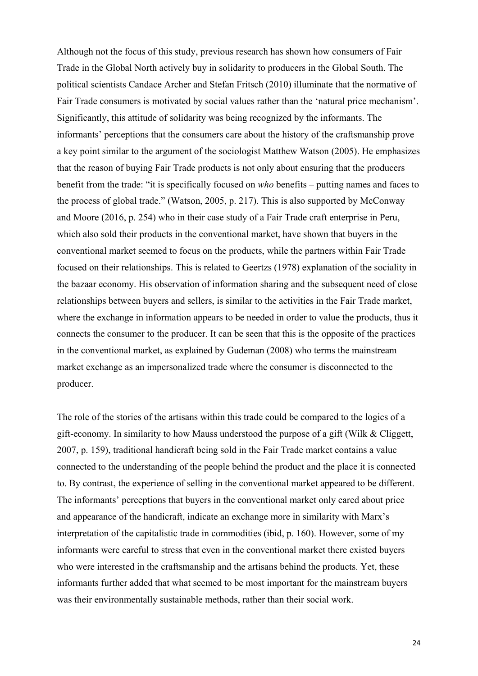Although not the focus of this study, previous research has shown how consumers of Fair Trade in the Global North actively buy in solidarity to producers in the Global South. The political scientists Candace Archer and Stefan Fritsch (2010) illuminate that the normative of Fair Trade consumers is motivated by social values rather than the 'natural price mechanism'. Significantly, this attitude of solidarity was being recognized by the informants. The informants' perceptions that the consumers care about the history of the craftsmanship prove a key point similar to the argument of the sociologist Matthew Watson (2005). He emphasizes that the reason of buying Fair Trade products is not only about ensuring that the producers benefit from the trade: "it is specifically focused on *who* benefits – putting names and faces to the process of global trade." (Watson, 2005, p. 217). This is also supported by McConway and Moore (2016, p. 254) who in their case study of a Fair Trade craft enterprise in Peru, which also sold their products in the conventional market, have shown that buyers in the conventional market seemed to focus on the products, while the partners within Fair Trade focused on their relationships. This is related to Geertzs (1978) explanation of the sociality in the bazaar economy. His observation of information sharing and the subsequent need of close relationships between buyers and sellers, is similar to the activities in the Fair Trade market, where the exchange in information appears to be needed in order to value the products, thus it connects the consumer to the producer. It can be seen that this is the opposite of the practices in the conventional market, as explained by Gudeman (2008) who terms the mainstream market exchange as an impersonalized trade where the consumer is disconnected to the producer.

The role of the stories of the artisans within this trade could be compared to the logics of a gift-economy. In similarity to how Mauss understood the purpose of a gift (Wilk & Cliggett, 2007, p. 159), traditional handicraft being sold in the Fair Trade market contains a value connected to the understanding of the people behind the product and the place it is connected to. By contrast, the experience of selling in the conventional market appeared to be different. The informants' perceptions that buyers in the conventional market only cared about price and appearance of the handicraft, indicate an exchange more in similarity with Marx's interpretation of the capitalistic trade in commodities (ibid, p. 160). However, some of my informants were careful to stress that even in the conventional market there existed buyers who were interested in the craftsmanship and the artisans behind the products. Yet, these informants further added that what seemed to be most important for the mainstream buyers was their environmentally sustainable methods, rather than their social work.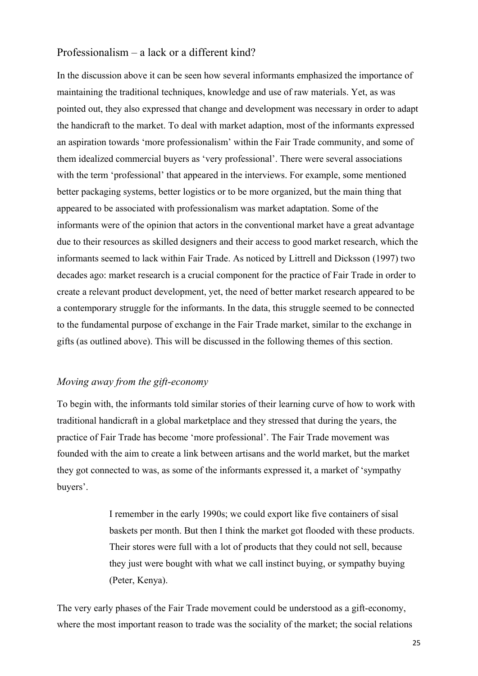#### <span id="page-25-0"></span>Professionalism – a lack or a different kind?

In the discussion above it can be seen how several informants emphasized the importance of maintaining the traditional techniques, knowledge and use of raw materials. Yet, as was pointed out, they also expressed that change and development was necessary in order to adapt the handicraft to the market. To deal with market adaption, most of the informants expressed an aspiration towards 'more professionalism' within the Fair Trade community, and some of them idealized commercial buyers as 'very professional'. There were several associations with the term 'professional' that appeared in the interviews. For example, some mentioned better packaging systems, better logistics or to be more organized, but the main thing that appeared to be associated with professionalism was market adaptation. Some of the informants were of the opinion that actors in the conventional market have a great advantage due to their resources as skilled designers and their access to good market research, which the informants seemed to lack within Fair Trade. As noticed by Littrell and Dicksson (1997) two decades ago: market research is a crucial component for the practice of Fair Trade in order to create a relevant product development, yet, the need of better market research appeared to be a contemporary struggle for the informants. In the data, this struggle seemed to be connected to the fundamental purpose of exchange in the Fair Trade market, similar to the exchange in gifts (as outlined above). This will be discussed in the following themes of this section.

#### <span id="page-25-1"></span>*Moving away from the gift-economy*

To begin with, the informants told similar stories of their learning curve of how to work with traditional handicraft in a global marketplace and they stressed that during the years, the practice of Fair Trade has become 'more professional'. The Fair Trade movement was founded with the aim to create a link between artisans and the world market, but the market they got connected to was, as some of the informants expressed it, a market of 'sympathy buyers'.

> I remember in the early 1990s; we could export like five containers of sisal baskets per month. But then I think the market got flooded with these products. Their stores were full with a lot of products that they could not sell, because they just were bought with what we call instinct buying, or sympathy buying (Peter, Kenya).

The very early phases of the Fair Trade movement could be understood as a gift-economy, where the most important reason to trade was the sociality of the market; the social relations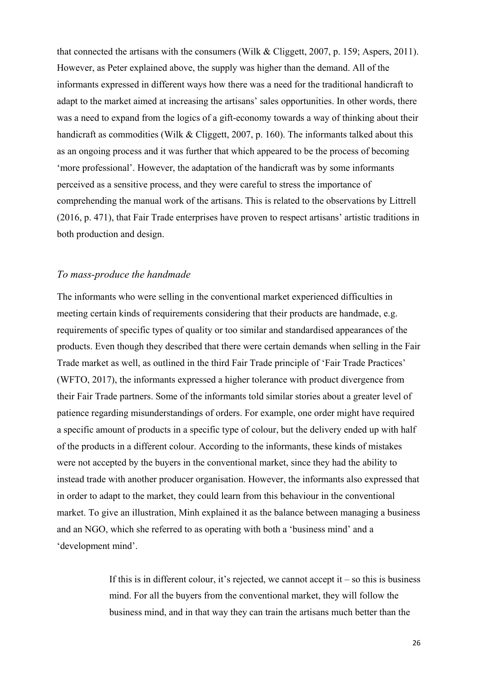that connected the artisans with the consumers (Wilk & Cliggett, 2007, p. 159; Aspers, 2011). However, as Peter explained above, the supply was higher than the demand. All of the informants expressed in different ways how there was a need for the traditional handicraft to adapt to the market aimed at increasing the artisans' sales opportunities. In other words, there was a need to expand from the logics of a gift-economy towards a way of thinking about their handicraft as commodities (Wilk & Cliggett, 2007, p. 160). The informants talked about this as an ongoing process and it was further that which appeared to be the process of becoming 'more professional'. However, the adaptation of the handicraft was by some informants perceived as a sensitive process, and they were careful to stress the importance of comprehending the manual work of the artisans. This is related to the observations by Littrell (2016, p. 471), that Fair Trade enterprises have proven to respect artisans' artistic traditions in both production and design.

#### <span id="page-26-0"></span>*To mass-produce the handmade*

The informants who were selling in the conventional market experienced difficulties in meeting certain kinds of requirements considering that their products are handmade, e.g. requirements of specific types of quality or too similar and standardised appearances of the products. Even though they described that there were certain demands when selling in the Fair Trade market as well, as outlined in the third Fair Trade principle of 'Fair Trade Practices' (WFTO, 2017), the informants expressed a higher tolerance with product divergence from their Fair Trade partners. Some of the informants told similar stories about a greater level of patience regarding misunderstandings of orders. For example, one order might have required a specific amount of products in a specific type of colour, but the delivery ended up with half of the products in a different colour. According to the informants, these kinds of mistakes were not accepted by the buyers in the conventional market, since they had the ability to instead trade with another producer organisation. However, the informants also expressed that in order to adapt to the market, they could learn from this behaviour in the conventional market. To give an illustration, Minh explained it as the balance between managing a business and an NGO, which she referred to as operating with both a 'business mind' and a 'development mind'.

> If this is in different colour, it's rejected, we cannot accept it – so this is business mind. For all the buyers from the conventional market, they will follow the business mind, and in that way they can train the artisans much better than the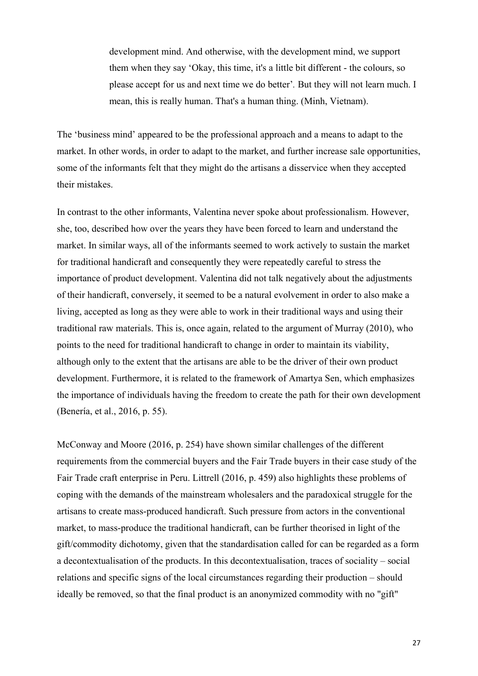development mind. And otherwise, with the development mind, we support them when they say 'Okay, this time, it's a little bit different - the colours, so please accept for us and next time we do better'*.* But they will not learn much. I mean, this is really human. That's a human thing. (Minh, Vietnam).

The 'business mind' appeared to be the professional approach and a means to adapt to the market. In other words, in order to adapt to the market, and further increase sale opportunities, some of the informants felt that they might do the artisans a disservice when they accepted their mistakes.

In contrast to the other informants, Valentina never spoke about professionalism. However, she, too, described how over the years they have been forced to learn and understand the market. In similar ways, all of the informants seemed to work actively to sustain the market for traditional handicraft and consequently they were repeatedly careful to stress the importance of product development. Valentina did not talk negatively about the adjustments of their handicraft, conversely, it seemed to be a natural evolvement in order to also make a living, accepted as long as they were able to work in their traditional ways and using their traditional raw materials. This is, once again, related to the argument of Murray (2010), who points to the need for traditional handicraft to change in order to maintain its viability, although only to the extent that the artisans are able to be the driver of their own product development. Furthermore, it is related to the framework of Amartya Sen, which emphasizes the importance of individuals having the freedom to create the path for their own development (Benería, et al., 2016, p. 55).

McConway and Moore (2016, p. 254) have shown similar challenges of the different requirements from the commercial buyers and the Fair Trade buyers in their case study of the Fair Trade craft enterprise in Peru. Littrell (2016, p. 459) also highlights these problems of coping with the demands of the mainstream wholesalers and the paradoxical struggle for the artisans to create mass-produced handicraft. Such pressure from actors in the conventional market, to mass-produce the traditional handicraft, can be further theorised in light of the gift/commodity dichotomy, given that the standardisation called for can be regarded as a form a decontextualisation of the products. In this decontextualisation, traces of sociality – social relations and specific signs of the local circumstances regarding their production – should ideally be removed, so that the final product is an anonymized commodity with no "gift"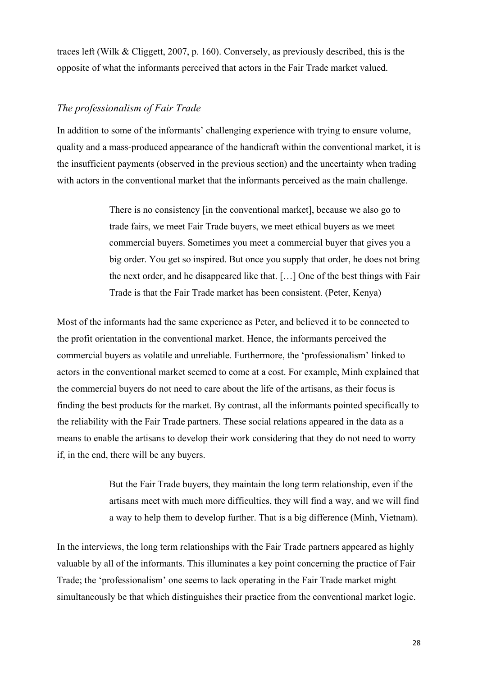traces left (Wilk & Cliggett, 2007, p. 160). Conversely, as previously described, this is the opposite of what the informants perceived that actors in the Fair Trade market valued.

#### <span id="page-28-0"></span>*The professionalism of Fair Trade*

In addition to some of the informants' challenging experience with trying to ensure volume, quality and a mass-produced appearance of the handicraft within the conventional market, it is the insufficient payments (observed in the previous section) and the uncertainty when trading with actors in the conventional market that the informants perceived as the main challenge.

> There is no consistency [in the conventional market], because we also go to trade fairs, we meet Fair Trade buyers, we meet ethical buyers as we meet commercial buyers. Sometimes you meet a commercial buyer that gives you a big order. You get so inspired. But once you supply that order, he does not bring the next order, and he disappeared like that. […] One of the best things with Fair Trade is that the Fair Trade market has been consistent. (Peter, Kenya)

Most of the informants had the same experience as Peter, and believed it to be connected to the profit orientation in the conventional market. Hence, the informants perceived the commercial buyers as volatile and unreliable. Furthermore, the 'professionalism' linked to actors in the conventional market seemed to come at a cost. For example, Minh explained that the commercial buyers do not need to care about the life of the artisans, as their focus is finding the best products for the market. By contrast, all the informants pointed specifically to the reliability with the Fair Trade partners. These social relations appeared in the data as a means to enable the artisans to develop their work considering that they do not need to worry if, in the end, there will be any buyers.

> But the Fair Trade buyers, they maintain the long term relationship, even if the artisans meet with much more difficulties, they will find a way, and we will find a way to help them to develop further. That is a big difference (Minh, Vietnam).

In the interviews, the long term relationships with the Fair Trade partners appeared as highly valuable by all of the informants. This illuminates a key point concerning the practice of Fair Trade; the 'professionalism' one seems to lack operating in the Fair Trade market might simultaneously be that which distinguishes their practice from the conventional market logic.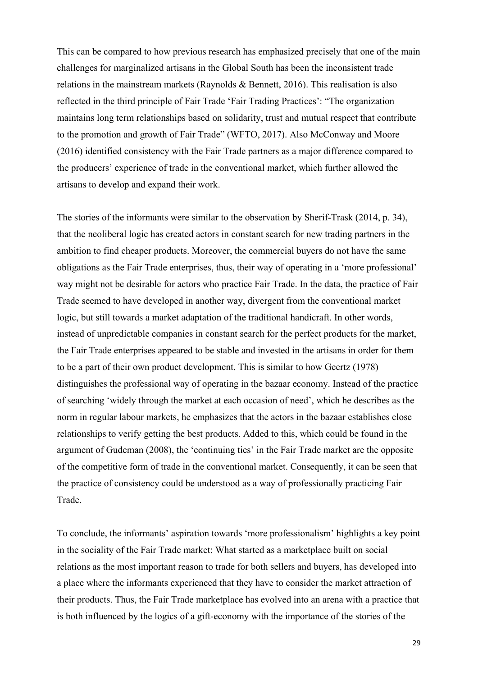This can be compared to how previous research has emphasized precisely that one of the main challenges for marginalized artisans in the Global South has been the inconsistent trade relations in the mainstream markets (Raynolds & Bennett, 2016). This realisation is also reflected in the third principle of Fair Trade 'Fair Trading Practices': "The organization maintains long term relationships based on solidarity, trust and mutual respect that contribute to the promotion and growth of Fair Trade" (WFTO, 2017). Also McConway and Moore (2016) identified consistency with the Fair Trade partners as a major difference compared to the producers' experience of trade in the conventional market, which further allowed the artisans to develop and expand their work.

The stories of the informants were similar to the observation by Sherif-Trask (2014, p. 34), that the neoliberal logic has created actors in constant search for new trading partners in the ambition to find cheaper products. Moreover, the commercial buyers do not have the same obligations as the Fair Trade enterprises, thus, their way of operating in a 'more professional' way might not be desirable for actors who practice Fair Trade. In the data, the practice of Fair Trade seemed to have developed in another way, divergent from the conventional market logic, but still towards a market adaptation of the traditional handicraft. In other words, instead of unpredictable companies in constant search for the perfect products for the market, the Fair Trade enterprises appeared to be stable and invested in the artisans in order for them to be a part of their own product development. This is similar to how Geertz (1978) distinguishes the professional way of operating in the bazaar economy. Instead of the practice of searching 'widely through the market at each occasion of need', which he describes as the norm in regular labour markets, he emphasizes that the actors in the bazaar establishes close relationships to verify getting the best products. Added to this, which could be found in the argument of Gudeman (2008), the 'continuing ties' in the Fair Trade market are the opposite of the competitive form of trade in the conventional market. Consequently, it can be seen that the practice of consistency could be understood as a way of professionally practicing Fair Trade.

To conclude, the informants' aspiration towards 'more professionalism' highlights a key point in the sociality of the Fair Trade market: What started as a marketplace built on social relations as the most important reason to trade for both sellers and buyers, has developed into a place where the informants experienced that they have to consider the market attraction of their products. Thus, the Fair Trade marketplace has evolved into an arena with a practice that is both influenced by the logics of a gift-economy with the importance of the stories of the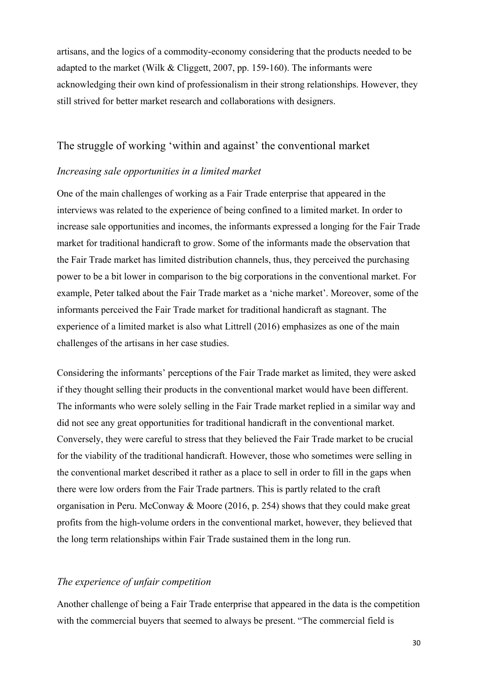artisans, and the logics of a commodity-economy considering that the products needed to be adapted to the market (Wilk & Cliggett, 2007, pp. 159-160). The informants were acknowledging their own kind of professionalism in their strong relationships. However, they still strived for better market research and collaborations with designers.

#### <span id="page-30-0"></span>The struggle of working 'within and against' the conventional market

#### <span id="page-30-1"></span>*Increasing sale opportunities in a limited market*

One of the main challenges of working as a Fair Trade enterprise that appeared in the interviews was related to the experience of being confined to a limited market. In order to increase sale opportunities and incomes, the informants expressed a longing for the Fair Trade market for traditional handicraft to grow. Some of the informants made the observation that the Fair Trade market has limited distribution channels, thus, they perceived the purchasing power to be a bit lower in comparison to the big corporations in the conventional market. For example, Peter talked about the Fair Trade market as a 'niche market'. Moreover, some of the informants perceived the Fair Trade market for traditional handicraft as stagnant. The experience of a limited market is also what Littrell (2016) emphasizes as one of the main challenges of the artisans in her case studies.

Considering the informants' perceptions of the Fair Trade market as limited, they were asked if they thought selling their products in the conventional market would have been different. The informants who were solely selling in the Fair Trade market replied in a similar way and did not see any great opportunities for traditional handicraft in the conventional market. Conversely, they were careful to stress that they believed the Fair Trade market to be crucial for the viability of the traditional handicraft. However, those who sometimes were selling in the conventional market described it rather as a place to sell in order to fill in the gaps when there were low orders from the Fair Trade partners. This is partly related to the craft organisation in Peru. McConway & Moore (2016, p. 254) shows that they could make great profits from the high-volume orders in the conventional market, however, they believed that the long term relationships within Fair Trade sustained them in the long run.

#### <span id="page-30-2"></span>*The experience of unfair competition*

Another challenge of being a Fair Trade enterprise that appeared in the data is the competition with the commercial buyers that seemed to always be present. "The commercial field is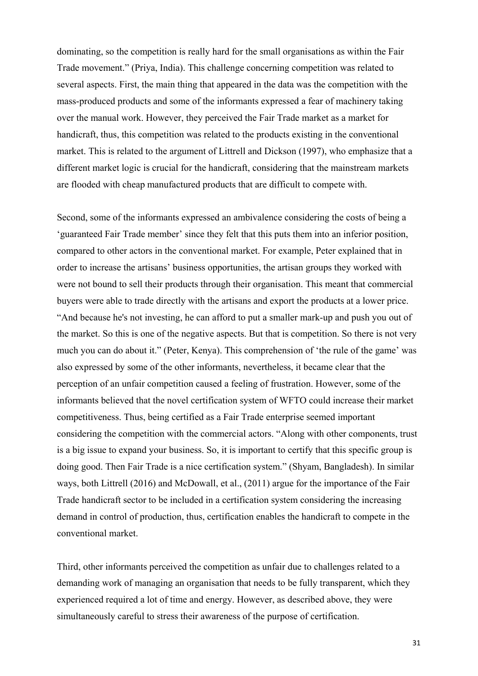dominating, so the competition is really hard for the small organisations as within the Fair Trade movement." (Priya, India). This challenge concerning competition was related to several aspects. First, the main thing that appeared in the data was the competition with the mass-produced products and some of the informants expressed a fear of machinery taking over the manual work. However, they perceived the Fair Trade market as a market for handicraft, thus, this competition was related to the products existing in the conventional market. This is related to the argument of Littrell and Dickson (1997), who emphasize that a different market logic is crucial for the handicraft, considering that the mainstream markets are flooded with cheap manufactured products that are difficult to compete with.

Second, some of the informants expressed an ambivalence considering the costs of being a 'guaranteed Fair Trade member' since they felt that this puts them into an inferior position, compared to other actors in the conventional market. For example, Peter explained that in order to increase the artisans' business opportunities, the artisan groups they worked with were not bound to sell their products through their organisation. This meant that commercial buyers were able to trade directly with the artisans and export the products at a lower price. "And because he's not investing, he can afford to put a smaller mark-up and push you out of the market. So this is one of the negative aspects. But that is competition. So there is not very much you can do about it." (Peter, Kenya). This comprehension of 'the rule of the game' was also expressed by some of the other informants, nevertheless, it became clear that the perception of an unfair competition caused a feeling of frustration. However, some of the informants believed that the novel certification system of WFTO could increase their market competitiveness. Thus, being certified as a Fair Trade enterprise seemed important considering the competition with the commercial actors. "Along with other components, trust is a big issue to expand your business. So, it is important to certify that this specific group is doing good. Then Fair Trade is a nice certification system." (Shyam, Bangladesh). In similar ways, both Littrell (2016) and McDowall, et al., (2011) argue for the importance of the Fair Trade handicraft sector to be included in a certification system considering the increasing demand in control of production, thus, certification enables the handicraft to compete in the conventional market.

Third, other informants perceived the competition as unfair due to challenges related to a demanding work of managing an organisation that needs to be fully transparent, which they experienced required a lot of time and energy. However, as described above, they were simultaneously careful to stress their awareness of the purpose of certification.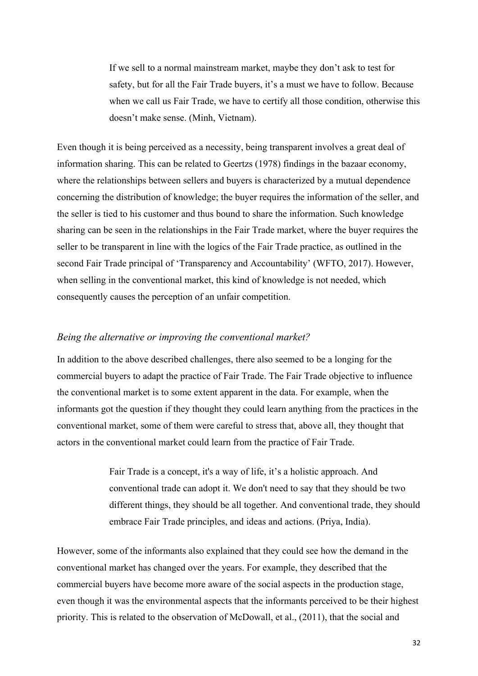If we sell to a normal mainstream market, maybe they don't ask to test for safety, but for all the Fair Trade buyers, it's a must we have to follow. Because when we call us Fair Trade, we have to certify all those condition, otherwise this doesn't make sense. (Minh, Vietnam).

Even though it is being perceived as a necessity, being transparent involves a great deal of information sharing. This can be related to Geertzs (1978) findings in the bazaar economy, where the relationships between sellers and buyers is characterized by a mutual dependence concerning the distribution of knowledge; the buyer requires the information of the seller, and the seller is tied to his customer and thus bound to share the information. Such knowledge sharing can be seen in the relationships in the Fair Trade market, where the buyer requires the seller to be transparent in line with the logics of the Fair Trade practice, as outlined in the second Fair Trade principal of 'Transparency and Accountability' (WFTO, 2017). However, when selling in the conventional market, this kind of knowledge is not needed, which consequently causes the perception of an unfair competition.

#### <span id="page-32-0"></span>*Being the alternative or improving the conventional market?*

In addition to the above described challenges, there also seemed to be a longing for the commercial buyers to adapt the practice of Fair Trade. The Fair Trade objective to influence the conventional market is to some extent apparent in the data. For example, when the informants got the question if they thought they could learn anything from the practices in the conventional market, some of them were careful to stress that, above all, they thought that actors in the conventional market could learn from the practice of Fair Trade.

> Fair Trade is a concept, it's a way of life, it's a holistic approach. And conventional trade can adopt it. We don't need to say that they should be two different things, they should be all together. And conventional trade, they should embrace Fair Trade principles, and ideas and actions. (Priya, India).

However, some of the informants also explained that they could see how the demand in the conventional market has changed over the years. For example, they described that the commercial buyers have become more aware of the social aspects in the production stage, even though it was the environmental aspects that the informants perceived to be their highest priority. This is related to the observation of McDowall, et al., (2011), that the social and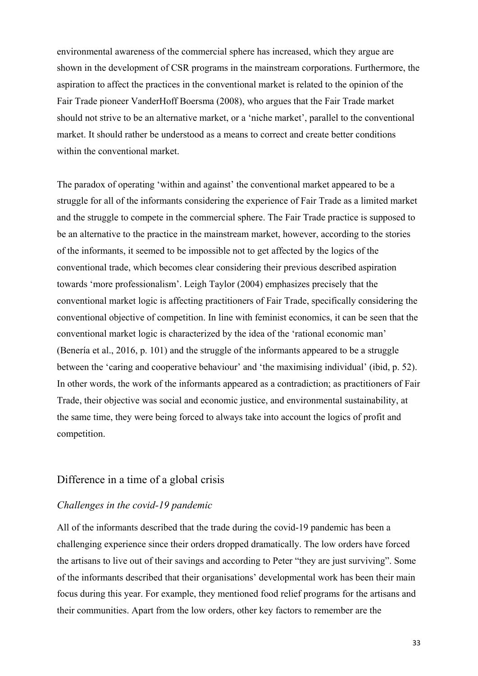environmental awareness of the commercial sphere has increased, which they argue are shown in the development of CSR programs in the mainstream corporations. Furthermore, the aspiration to affect the practices in the conventional market is related to the opinion of the Fair Trade pioneer VanderHoff Boersma (2008), who argues that the Fair Trade market should not strive to be an alternative market, or a 'niche market', parallel to the conventional market. It should rather be understood as a means to correct and create better conditions within the conventional market.

The paradox of operating 'within and against' the conventional market appeared to be a struggle for all of the informants considering the experience of Fair Trade as a limited market and the struggle to compete in the commercial sphere. The Fair Trade practice is supposed to be an alternative to the practice in the mainstream market, however, according to the stories of the informants, it seemed to be impossible not to get affected by the logics of the conventional trade, which becomes clear considering their previous described aspiration towards 'more professionalism'. Leigh Taylor (2004) emphasizes precisely that the conventional market logic is affecting practitioners of Fair Trade, specifically considering the conventional objective of competition. In line with feminist economics, it can be seen that the conventional market logic is characterized by the idea of the 'rational economic man' (Benería et al., 2016, p. 101) and the struggle of the informants appeared to be a struggle between the 'caring and cooperative behaviour' and 'the maximising individual' (ibid, p. 52). In other words, the work of the informants appeared as a contradiction; as practitioners of Fair Trade, their objective was social and economic justice, and environmental sustainability, at the same time, they were being forced to always take into account the logics of profit and competition.

#### <span id="page-33-0"></span>Difference in a time of a global crisis

#### <span id="page-33-1"></span>*Challenges in the covid-19 pandemic*

All of the informants described that the trade during the covid-19 pandemic has been a challenging experience since their orders dropped dramatically. The low orders have forced the artisans to live out of their savings and according to Peter "they are just surviving". Some of the informants described that their organisations' developmental work has been their main focus during this year. For example, they mentioned food relief programs for the artisans and their communities. Apart from the low orders, other key factors to remember are the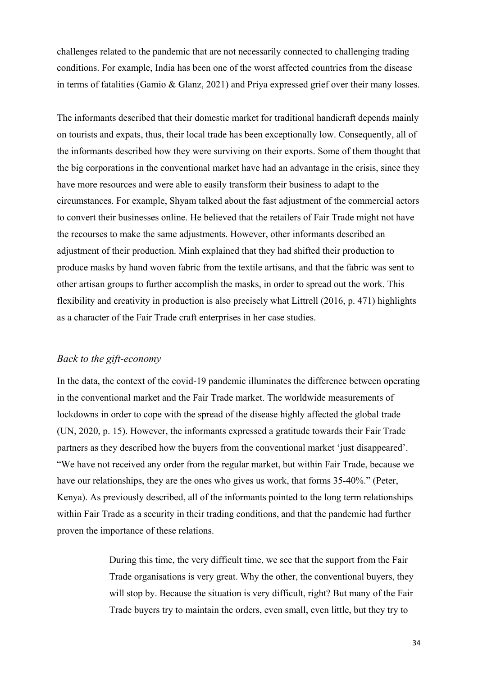challenges related to the pandemic that are not necessarily connected to challenging trading conditions. For example, India has been one of the worst affected countries from the disease in terms of fatalities (Gamio & Glanz, 2021) and Priya expressed grief over their many losses.

The informants described that their domestic market for traditional handicraft depends mainly on tourists and expats, thus, their local trade has been exceptionally low. Consequently, all of the informants described how they were surviving on their exports. Some of them thought that the big corporations in the conventional market have had an advantage in the crisis, since they have more resources and were able to easily transform their business to adapt to the circumstances. For example, Shyam talked about the fast adjustment of the commercial actors to convert their businesses online. He believed that the retailers of Fair Trade might not have the recourses to make the same adjustments. However, other informants described an adjustment of their production. Minh explained that they had shifted their production to produce masks by hand woven fabric from the textile artisans, and that the fabric was sent to other artisan groups to further accomplish the masks, in order to spread out the work. This flexibility and creativity in production is also precisely what Littrell (2016, p. 471) highlights as a character of the Fair Trade craft enterprises in her case studies.

#### <span id="page-34-0"></span>*Back to the gift-economy*

In the data, the context of the covid-19 pandemic illuminates the difference between operating in the conventional market and the Fair Trade market. The worldwide measurements of lockdowns in order to cope with the spread of the disease highly affected the global trade (UN, 2020, p. 15). However, the informants expressed a gratitude towards their Fair Trade partners as they described how the buyers from the conventional market 'just disappeared'. "We have not received any order from the regular market, but within Fair Trade, because we have our relationships, they are the ones who gives us work, that forms 35-40%." (Peter, Kenya). As previously described, all of the informants pointed to the long term relationships within Fair Trade as a security in their trading conditions, and that the pandemic had further proven the importance of these relations.

> During this time, the very difficult time, we see that the support from the Fair Trade organisations is very great. Why the other, the conventional buyers, they will stop by. Because the situation is very difficult, right? But many of the Fair Trade buyers try to maintain the orders, even small, even little, but they try to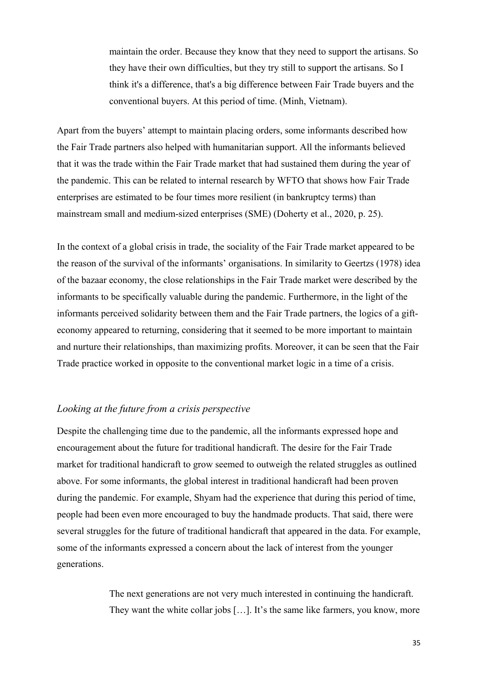maintain the order. Because they know that they need to support the artisans. So they have their own difficulties, but they try still to support the artisans. So I think it's a difference, that's a big difference between Fair Trade buyers and the conventional buyers. At this period of time. (Minh, Vietnam).

Apart from the buyers' attempt to maintain placing orders, some informants described how the Fair Trade partners also helped with humanitarian support. All the informants believed that it was the trade within the Fair Trade market that had sustained them during the year of the pandemic. This can be related to internal research by WFTO that shows how Fair Trade enterprises are estimated to be four times more resilient (in bankruptcy terms) than mainstream small and medium-sized enterprises (SME) (Doherty et al., 2020, p. 25).

In the context of a global crisis in trade, the sociality of the Fair Trade market appeared to be the reason of the survival of the informants' organisations. In similarity to Geertzs (1978) idea of the bazaar economy, the close relationships in the Fair Trade market were described by the informants to be specifically valuable during the pandemic. Furthermore, in the light of the informants perceived solidarity between them and the Fair Trade partners, the logics of a gifteconomy appeared to returning, considering that it seemed to be more important to maintain and nurture their relationships, than maximizing profits. Moreover, it can be seen that the Fair Trade practice worked in opposite to the conventional market logic in a time of a crisis.

#### <span id="page-35-0"></span>*Looking at the future from a crisis perspective*

Despite the challenging time due to the pandemic, all the informants expressed hope and encouragement about the future for traditional handicraft. The desire for the Fair Trade market for traditional handicraft to grow seemed to outweigh the related struggles as outlined above. For some informants, the global interest in traditional handicraft had been proven during the pandemic. For example, Shyam had the experience that during this period of time, people had been even more encouraged to buy the handmade products. That said, there were several struggles for the future of traditional handicraft that appeared in the data. For example, some of the informants expressed a concern about the lack of interest from the younger generations.

> The next generations are not very much interested in continuing the handicraft. They want the white collar jobs […]. It's the same like farmers, you know, more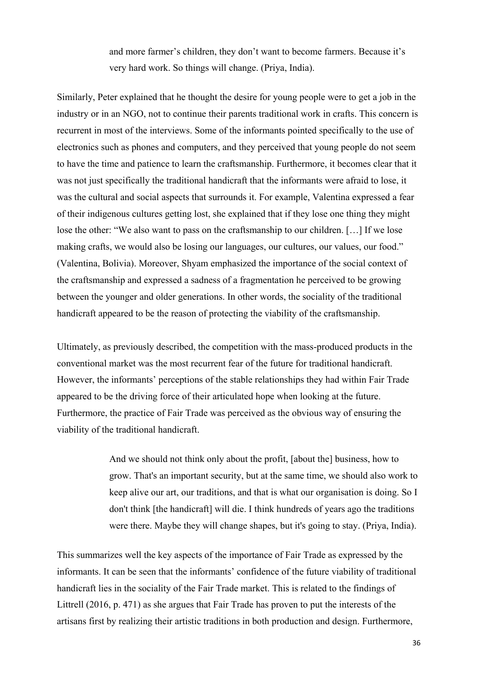and more farmer's children, they don't want to become farmers. Because it's very hard work. So things will change. (Priya, India).

Similarly, Peter explained that he thought the desire for young people were to get a job in the industry or in an NGO, not to continue their parents traditional work in crafts. This concern is recurrent in most of the interviews. Some of the informants pointed specifically to the use of electronics such as phones and computers, and they perceived that young people do not seem to have the time and patience to learn the craftsmanship. Furthermore, it becomes clear that it was not just specifically the traditional handicraft that the informants were afraid to lose, it was the cultural and social aspects that surrounds it. For example, Valentina expressed a fear of their indigenous cultures getting lost, she explained that if they lose one thing they might lose the other: "We also want to pass on the craftsmanship to our children. […] If we lose making crafts, we would also be losing our languages, our cultures, our values, our food." (Valentina, Bolivia). Moreover, Shyam emphasized the importance of the social context of the craftsmanship and expressed a sadness of a fragmentation he perceived to be growing between the younger and older generations. In other words, the sociality of the traditional handicraft appeared to be the reason of protecting the viability of the craftsmanship.

Ultimately, as previously described, the competition with the mass-produced products in the conventional market was the most recurrent fear of the future for traditional handicraft. However, the informants' perceptions of the stable relationships they had within Fair Trade appeared to be the driving force of their articulated hope when looking at the future. Furthermore, the practice of Fair Trade was perceived as the obvious way of ensuring the viability of the traditional handicraft.

> And we should not think only about the profit, [about the] business, how to grow. That's an important security, but at the same time, we should also work to keep alive our art, our traditions, and that is what our organisation is doing. So I don't think [the handicraft] will die. I think hundreds of years ago the traditions were there. Maybe they will change shapes, but it's going to stay. (Priya, India).

This summarizes well the key aspects of the importance of Fair Trade as expressed by the informants. It can be seen that the informants' confidence of the future viability of traditional handicraft lies in the sociality of the Fair Trade market. This is related to the findings of Littrell (2016, p. 471) as she argues that Fair Trade has proven to put the interests of the artisans first by realizing their artistic traditions in both production and design. Furthermore,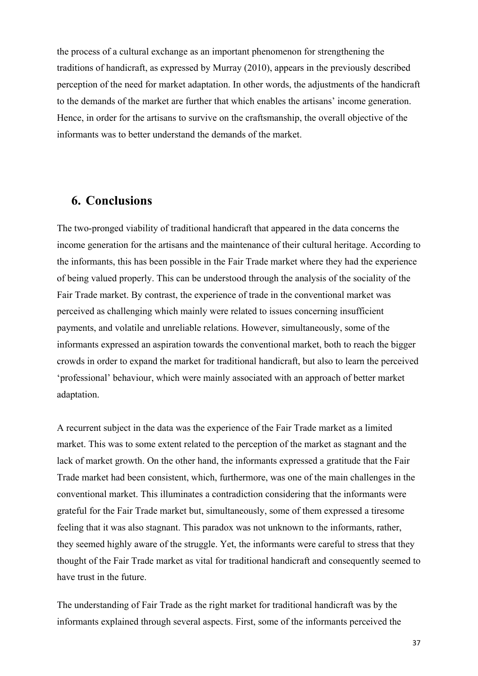the process of a cultural exchange as an important phenomenon for strengthening the traditions of handicraft, as expressed by Murray (2010), appears in the previously described perception of the need for market adaptation. In other words, the adjustments of the handicraft to the demands of the market are further that which enables the artisans' income generation. Hence, in order for the artisans to survive on the craftsmanship, the overall objective of the informants was to better understand the demands of the market.

### <span id="page-37-0"></span>**6. Conclusions**

The two-pronged viability of traditional handicraft that appeared in the data concerns the income generation for the artisans and the maintenance of their cultural heritage. According to the informants, this has been possible in the Fair Trade market where they had the experience of being valued properly. This can be understood through the analysis of the sociality of the Fair Trade market. By contrast, the experience of trade in the conventional market was perceived as challenging which mainly were related to issues concerning insufficient payments, and volatile and unreliable relations. However, simultaneously, some of the informants expressed an aspiration towards the conventional market, both to reach the bigger crowds in order to expand the market for traditional handicraft, but also to learn the perceived 'professional' behaviour, which were mainly associated with an approach of better market adaptation.

A recurrent subject in the data was the experience of the Fair Trade market as a limited market. This was to some extent related to the perception of the market as stagnant and the lack of market growth. On the other hand, the informants expressed a gratitude that the Fair Trade market had been consistent, which, furthermore, was one of the main challenges in the conventional market. This illuminates a contradiction considering that the informants were grateful for the Fair Trade market but, simultaneously, some of them expressed a tiresome feeling that it was also stagnant. This paradox was not unknown to the informants, rather, they seemed highly aware of the struggle. Yet, the informants were careful to stress that they thought of the Fair Trade market as vital for traditional handicraft and consequently seemed to have trust in the future.

The understanding of Fair Trade as the right market for traditional handicraft was by the informants explained through several aspects. First, some of the informants perceived the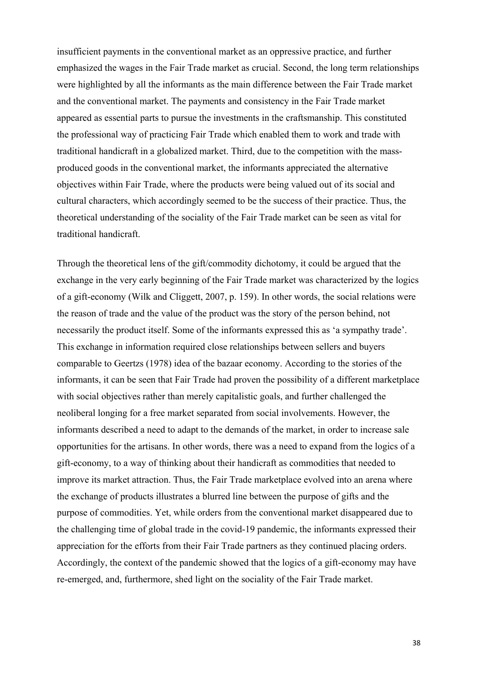insufficient payments in the conventional market as an oppressive practice, and further emphasized the wages in the Fair Trade market as crucial. Second, the long term relationships were highlighted by all the informants as the main difference between the Fair Trade market and the conventional market. The payments and consistency in the Fair Trade market appeared as essential parts to pursue the investments in the craftsmanship. This constituted the professional way of practicing Fair Trade which enabled them to work and trade with traditional handicraft in a globalized market. Third, due to the competition with the massproduced goods in the conventional market, the informants appreciated the alternative objectives within Fair Trade, where the products were being valued out of its social and cultural characters, which accordingly seemed to be the success of their practice. Thus, the theoretical understanding of the sociality of the Fair Trade market can be seen as vital for traditional handicraft.

Through the theoretical lens of the gift/commodity dichotomy, it could be argued that the exchange in the very early beginning of the Fair Trade market was characterized by the logics of a gift-economy (Wilk and Cliggett, 2007, p. 159). In other words, the social relations were the reason of trade and the value of the product was the story of the person behind, not necessarily the product itself. Some of the informants expressed this as 'a sympathy trade'. This exchange in information required close relationships between sellers and buyers comparable to Geertzs (1978) idea of the bazaar economy. According to the stories of the informants, it can be seen that Fair Trade had proven the possibility of a different marketplace with social objectives rather than merely capitalistic goals, and further challenged the neoliberal longing for a free market separated from social involvements. However, the informants described a need to adapt to the demands of the market, in order to increase sale opportunities for the artisans. In other words, there was a need to expand from the logics of a gift-economy, to a way of thinking about their handicraft as commodities that needed to improve its market attraction. Thus, the Fair Trade marketplace evolved into an arena where the exchange of products illustrates a blurred line between the purpose of gifts and the purpose of commodities. Yet, while orders from the conventional market disappeared due to the challenging time of global trade in the covid-19 pandemic, the informants expressed their appreciation for the efforts from their Fair Trade partners as they continued placing orders. Accordingly, the context of the pandemic showed that the logics of a gift-economy may have re-emerged, and, furthermore, shed light on the sociality of the Fair Trade market.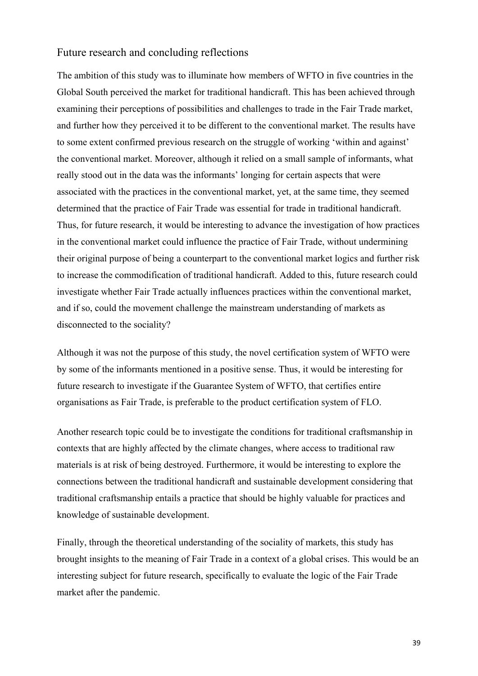#### <span id="page-39-0"></span>Future research and concluding reflections

The ambition of this study was to illuminate how members of WFTO in five countries in the Global South perceived the market for traditional handicraft. This has been achieved through examining their perceptions of possibilities and challenges to trade in the Fair Trade market, and further how they perceived it to be different to the conventional market. The results have to some extent confirmed previous research on the struggle of working 'within and against' the conventional market. Moreover, although it relied on a small sample of informants, what really stood out in the data was the informants' longing for certain aspects that were associated with the practices in the conventional market, yet, at the same time, they seemed determined that the practice of Fair Trade was essential for trade in traditional handicraft. Thus, for future research, it would be interesting to advance the investigation of how practices in the conventional market could influence the practice of Fair Trade, without undermining their original purpose of being a counterpart to the conventional market logics and further risk to increase the commodification of traditional handicraft. Added to this, future research could investigate whether Fair Trade actually influences practices within the conventional market, and if so, could the movement challenge the mainstream understanding of markets as disconnected to the sociality?

Although it was not the purpose of this study, the novel certification system of WFTO were by some of the informants mentioned in a positive sense. Thus, it would be interesting for future research to investigate if the Guarantee System of WFTO, that certifies entire organisations as Fair Trade, is preferable to the product certification system of FLO.

Another research topic could be to investigate the conditions for traditional craftsmanship in contexts that are highly affected by the climate changes, where access to traditional raw materials is at risk of being destroyed. Furthermore, it would be interesting to explore the connections between the traditional handicraft and sustainable development considering that traditional craftsmanship entails a practice that should be highly valuable for practices and knowledge of sustainable development.

Finally, through the theoretical understanding of the sociality of markets, this study has brought insights to the meaning of Fair Trade in a context of a global crises. This would be an interesting subject for future research, specifically to evaluate the logic of the Fair Trade market after the pandemic.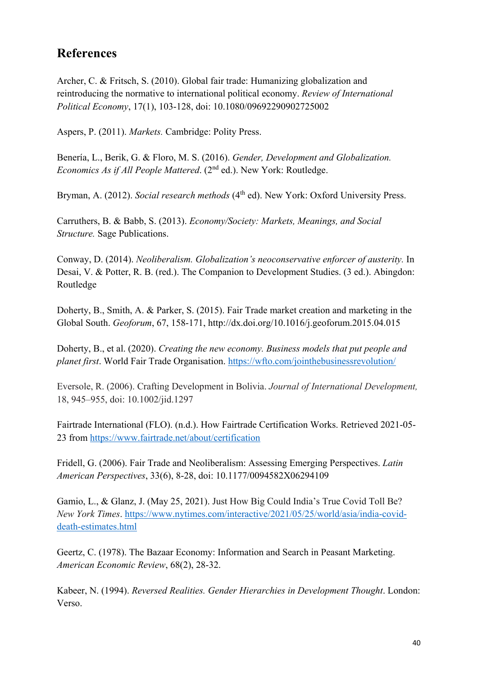# <span id="page-40-0"></span>**References**

Archer, C. & Fritsch, S. (2010). Global fair trade: Humanizing globalization and reintroducing the normative to international political economy. *Review of International Political Economy*, 17(1), 103-128, doi: 10.1080/09692290902725002

Aspers, P. (2011). *Markets.* Cambridge: Polity Press.

Benería, L., Berik, G. & Floro, M. S. (2016). *Gender, Development and Globalization. Economics As if All People Mattered.* (2<sup>nd</sup> ed.). New York: Routledge.

Bryman, A. (2012). *Social research methods* (4<sup>th</sup> ed). New York: Oxford University Press.

Carruthers, B. & Babb, S. (2013). *Economy/Society: Markets, Meanings, and Social Structure.* Sage Publications.

Conway, D. (2014). *Neoliberalism. Globalization's neoconservative enforcer of austerity.* In Desai, V. & Potter, R. B. (red.). The Companion to Development Studies. (3 ed.). Abingdon: Routledge

Doherty, B., Smith, A. & Parker, S. (2015). Fair Trade market creation and marketing in the Global South. *Geoforum*, 67, 158-171, http://dx.doi.org/10.1016/j.geoforum.2015.04.015

Doherty, B., et al. (2020). *Creating the new economy. Business models that put people and planet first*. World Fair Trade Organisation.<https://wfto.com/jointhebusinessrevolution/>

Eversole, R. (2006). Crafting Development in Bolivia. *Journal of International Development,* 18, 945–955, doi: 10.1002/jid.1297

Fairtrade International (FLO). (n.d.). How Fairtrade Certification Works. Retrieved 2021-05- 23 from<https://www.fairtrade.net/about/certification>

Fridell, G. (2006). Fair Trade and Neoliberalism: Assessing Emerging Perspectives. *Latin American Perspectives*, 33(6), 8-28, doi: 10.1177/0094582X06294109

Gamio, L., & Glanz, J. (May 25, 2021). Just How Big Could India's True Covid Toll Be? *New York Times*. [https://www.nytimes.com/interactive/2021/05/25/world/asia/india-covid](https://www.nytimes.com/interactive/2021/05/25/world/asia/india-covid-death-estimates.html)[death-estimates.html](https://www.nytimes.com/interactive/2021/05/25/world/asia/india-covid-death-estimates.html)

Geertz, C. (1978). The Bazaar Economy: Information and Search in Peasant Marketing. *American Economic Review*, 68(2), 28-32.

Kabeer, N. (1994). *Reversed Realities. Gender Hierarchies in Development Thought*. London: Verso.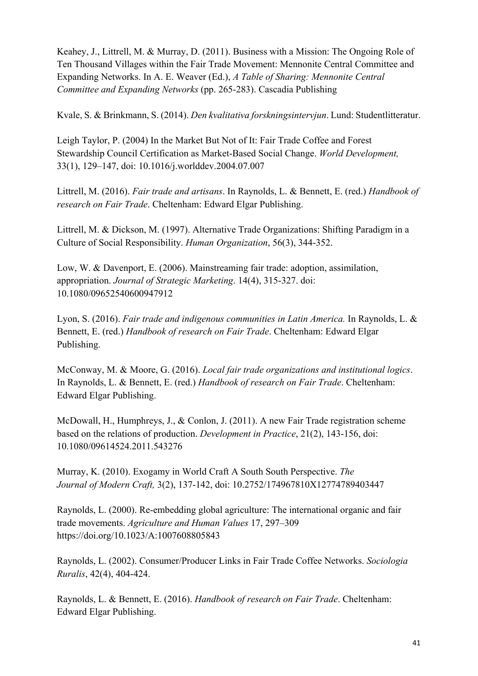Keahey, J., Littrell, M. & Murray, D. (2011). Business with a Mission: The Ongoing Role of Ten Thousand Villages within the Fair Trade Movement: Mennonite Central Committee and Expanding Networks. In A. E. Weaver (Ed.), *A Table of Sharing: Mennonite Central Committee and Expanding Networks* (pp. 265-283). Cascadia Publishing

Kvale, S. & Brinkmann, S. (2014). *Den kvalitativa forskningsintervjun*. Lund: Studentlitteratur.

Leigh Taylor, P. (2004) In the Market But Not of It: Fair Trade Coffee and Forest Stewardship Council Certification as Market-Based Social Change. *World Development,*  33(1), 129–147, doi: 10.1016/j.worlddev.2004.07.007

Littrell, M. (2016). *Fair trade and artisans*. In Raynolds, L. & Bennett, E. (red.) *Handbook of research on Fair Trade*. Cheltenham: Edward Elgar Publishing.

Littrell, M. & Dickson, M. (1997). Alternative Trade Organizations: Shifting Paradigm in a Culture of Social Responsibility. *Human Organization*, 56(3), 344-352.

Low, W. & Davenport, E. (2006). Mainstreaming fair trade: adoption, assimilation, appropriation. *Journal of Strategic Marketing*. 14(4), 315-327. doi: 10.1080/09652540600947912

Lyon, S. (2016). *Fair trade and indigenous communities in Latin America.* In Raynolds, L. & Bennett, E. (red.) *Handbook of research on Fair Trade*. Cheltenham: Edward Elgar Publishing.

McConway, M. & Moore, G. (2016). *Local fair trade organizations and institutional logics*. In Raynolds, L. & Bennett, E. (red.) *Handbook of research on Fair Trade*. Cheltenham: Edward Elgar Publishing.

McDowall, H., Humphreys, J., & Conlon, J. (2011). A new Fair Trade registration scheme based on the relations of production. *Development in Practice*, 21(2), 143-156, doi: 10.1080/09614524.2011.543276

Murray, K. (2010). Exogamy in World Craft A South South Perspective. *The Journal of Modern Craft,* 3(2), 137-142, doi: 10.2752/174967810X12774789403447

Raynolds, L. (2000). Re-embedding global agriculture: The international organic and fair trade movements. *Agriculture and Human Values* 17, 297–309 https://doi.org/10.1023/A:1007608805843

Raynolds, L. (2002). Consumer/Producer Links in Fair Trade Coffee Networks. *Sociologia Ruralis*, 42(4), 404-424.

Raynolds, L. & Bennett, E. (2016). *Handbook of research on Fair Trade*. Cheltenham: Edward Elgar Publishing.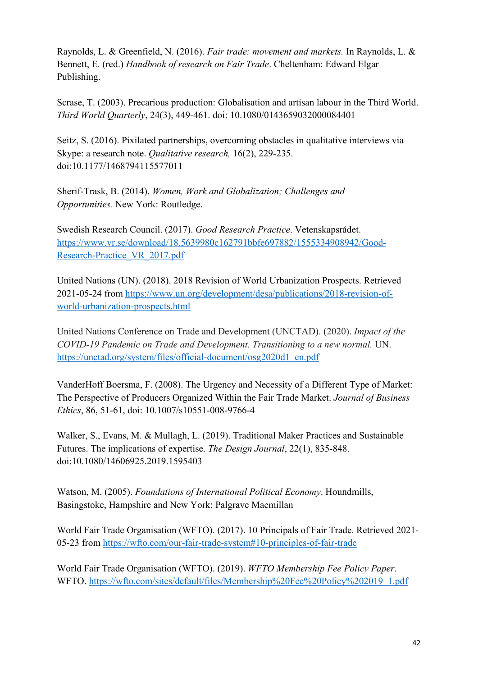Raynolds, L. & Greenfield, N. (2016). *Fair trade: movement and markets.* In Raynolds, L. & Bennett, E. (red.) *Handbook of research on Fair Trade*. Cheltenham: Edward Elgar Publishing.

Scrase, T. (2003). Precarious production: Globalisation and artisan labour in the Third World. *Third World Quarterly*, 24(3), 449-461. doi: 10.1080/0143659032000084401

Seitz, S. (2016). Pixilated partnerships, overcoming obstacles in qualitative interviews via Skype: a research note. *Qualitative research,* 16(2), 229-235. doi:10.1177/1468794115577011

Sherif-Trask, B. (2014). *Women, Work and Globalization; Challenges and Opportunities.* New York: Routledge.

Swedish Research Council. (2017). *Good Research Practice*. Vetenskapsrådet. [https://www.vr.se/download/18.5639980c162791bbfe697882/1555334908942/Good-](https://www.vr.se/download/18.5639980c162791bbfe697882/1555334908942/Good-Research-Practice_VR_2017.pdf)[Research-Practice\\_VR\\_2017.pdf](https://www.vr.se/download/18.5639980c162791bbfe697882/1555334908942/Good-Research-Practice_VR_2017.pdf) 

United Nations (UN). (2018). 2018 Revision of World Urbanization Prospects. Retrieved 2021-05-24 from [https://www.un.org/development/desa/publications/2018-revision-of](https://www.un.org/development/desa/publications/2018-revision-of-world-urbanization-prospects.html)[world-urbanization-prospects.html](https://www.un.org/development/desa/publications/2018-revision-of-world-urbanization-prospects.html) 

United Nations Conference on Trade and Development (UNCTAD). (2020). *Impact of the COVID-19 Pandemic on Trade and Development. Transitioning to a new normal.* UN. [https://unctad.org/system/files/official-document/osg2020d1\\_en.pdf](https://unctad.org/system/files/official-document/osg2020d1_en.pdf)

VanderHoff Boersma, F. (2008). The Urgency and Necessity of a Different Type of Market: The Perspective of Producers Organized Within the Fair Trade Market. *Journal of Business Ethics*, 86, 51-61, doi: 10.1007/s10551-008-9766-4

Walker, S., Evans, M. & Mullagh, L. (2019). Traditional Maker Practices and Sustainable Futures. The implications of expertise. *The Design Journal*, 22(1), 835-848. doi:10.1080/14606925.2019.1595403

Watson, M. (2005). *Foundations of International Political Economy*. Houndmills, Basingstoke, Hampshire and New York: Palgrave Macmillan

World Fair Trade Organisation (WFTO). (2017). 10 Principals of Fair Trade. Retrieved 2021- 05-23 from<https://wfto.com/our-fair-trade-system#10-principles-of-fair-trade>

World Fair Trade Organisation (WFTO). (2019). *WFTO Membership Fee Policy Paper*. WFTO. https://wfto.com/sites/default/files/Membership%20Fee%20Policy%202019\_1.pdf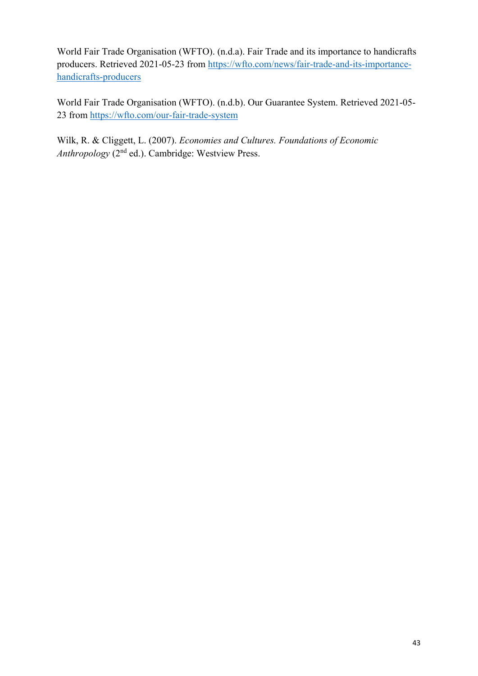World Fair Trade Organisation (WFTO). (n.d.a). Fair Trade and its importance to handicrafts producers. Retrieved 2021-05-23 from [https://wfto.com/news/fair-trade-and-its-importance](https://wfto.com/news/fair-trade-and-its-importance-handicrafts-producers)[handicrafts-producers](https://wfto.com/news/fair-trade-and-its-importance-handicrafts-producers) 

World Fair Trade Organisation (WFTO). (n.d.b). Our Guarantee System. Retrieved 2021-05- 23 from<https://wfto.com/our-fair-trade-system>

Wilk, R. & Cliggett, L. (2007). *Economies and Cultures. Foundations of Economic Anthropology* (2nd ed.). Cambridge: Westview Press.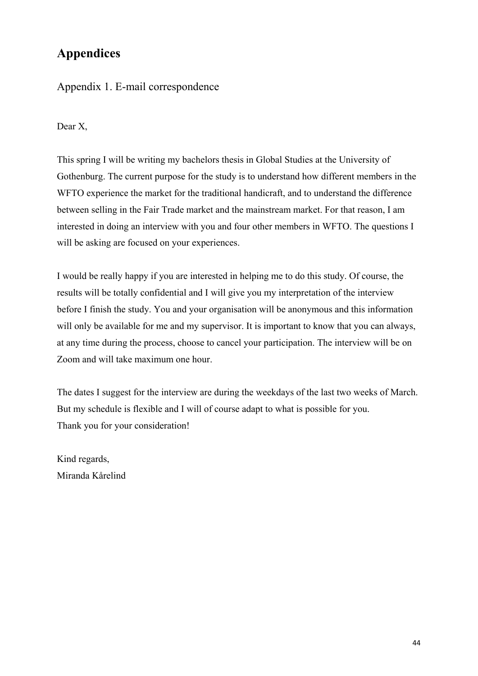# <span id="page-44-0"></span>**Appendices**

### Appendix 1. E-mail correspondence

Dear X,

This spring I will be writing my bachelors thesis in Global Studies at the University of Gothenburg. The current purpose for the study is to understand how different members in the WFTO experience the market for the traditional handicraft, and to understand the difference between selling in the Fair Trade market and the mainstream market. For that reason, I am interested in doing an interview with you and four other members in WFTO. The questions I will be asking are focused on your experiences.

I would be really happy if you are interested in helping me to do this study. Of course, the results will be totally confidential and I will give you my interpretation of the interview before I finish the study. You and your organisation will be anonymous and this information will only be available for me and my supervisor. It is important to know that you can always, at any time during the process, choose to cancel your participation. The interview will be on Zoom and will take maximum one hour.

The dates I suggest for the interview are during the weekdays of the last two weeks of March. But my schedule is flexible and I will of course adapt to what is possible for you. Thank you for your consideration!

Kind regards, Miranda Kårelind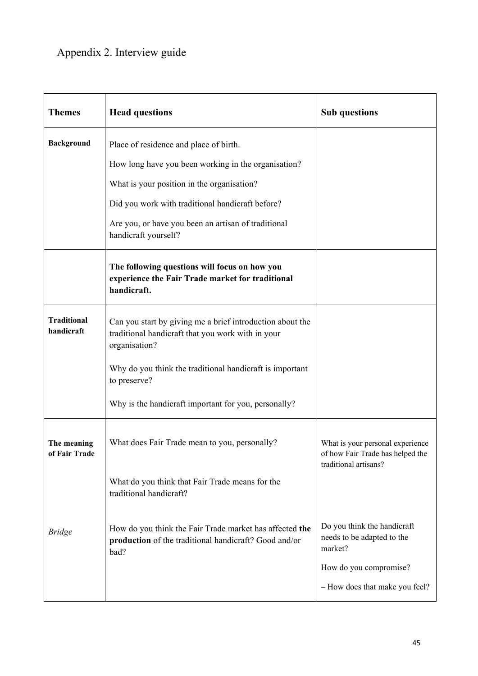# Appendix 2. Interview guide

| <b>Themes</b>                    | <b>Head questions</b>                                                                                                                                                                                                                                                          | <b>Sub</b> questions                                                                          |
|----------------------------------|--------------------------------------------------------------------------------------------------------------------------------------------------------------------------------------------------------------------------------------------------------------------------------|-----------------------------------------------------------------------------------------------|
| <b>Background</b>                | Place of residence and place of birth.<br>How long have you been working in the organisation?<br>What is your position in the organisation?<br>Did you work with traditional handicraft before?<br>Are you, or have you been an artisan of traditional<br>handicraft yourself? |                                                                                               |
|                                  | The following questions will focus on how you<br>experience the Fair Trade market for traditional<br>handicraft.                                                                                                                                                               |                                                                                               |
| <b>Traditional</b><br>handicraft | Can you start by giving me a brief introduction about the<br>traditional handicraft that you work with in your<br>organisation?                                                                                                                                                |                                                                                               |
|                                  | Why do you think the traditional handicraft is important<br>to preserve?                                                                                                                                                                                                       |                                                                                               |
|                                  | Why is the handicraft important for you, personally?                                                                                                                                                                                                                           |                                                                                               |
| The meaning<br>of Fair Trade     | What does Fair Trade mean to you, personally?                                                                                                                                                                                                                                  | What is your personal experience<br>of how Fair Trade has helped the<br>traditional artisans? |
|                                  | What do you think that Fair Trade means for the<br>traditional handicraft?                                                                                                                                                                                                     |                                                                                               |
| <b>Bridge</b>                    | How do you think the Fair Trade market has affected the<br>production of the traditional handicraft? Good and/or<br>bad?                                                                                                                                                       | Do you think the handicraft<br>needs to be adapted to the<br>market?                          |
|                                  |                                                                                                                                                                                                                                                                                | How do you compromise?                                                                        |
|                                  |                                                                                                                                                                                                                                                                                | - How does that make you feel?                                                                |